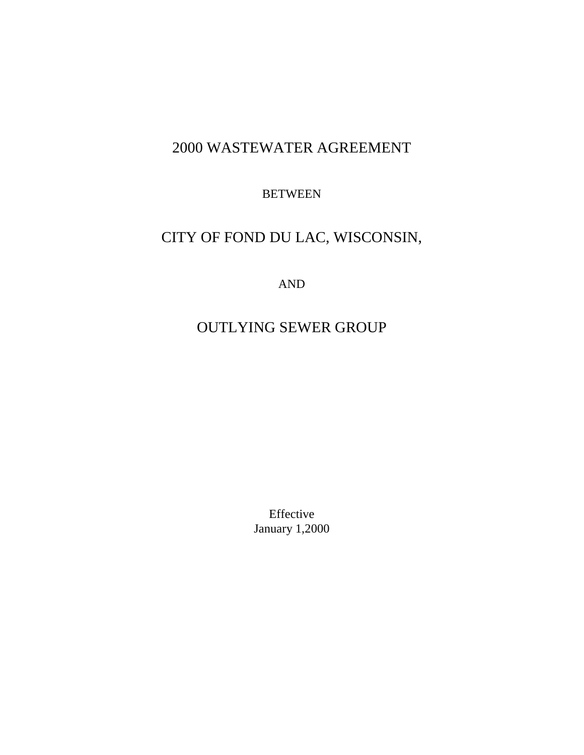# 2000 WASTEWATER AGREEMENT

**BETWEEN** 

# CITY OF FOND DU LAC, WISCONSIN,

AND

# OUTLYING SEWER GROUP

Effective January 1,2000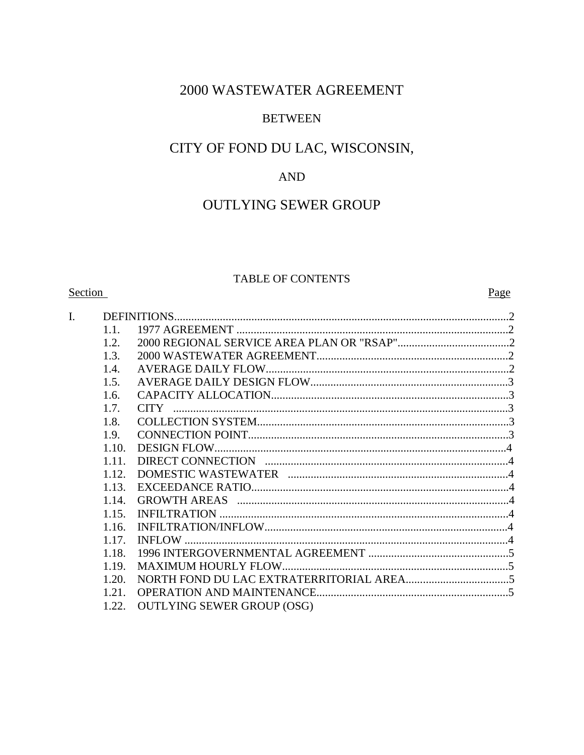# 2000 WASTEWATER AGREEMENT

# **BETWEEN**

# CITY OF FOND DU LAC, WISCONSIN,

# AND

# **OUTLYING SEWER GROUP**

# TABLE OF CONTENTS

# Section

## Page

| I. |       |                                   |  |
|----|-------|-----------------------------------|--|
|    | 1.1   |                                   |  |
|    | 1.2   |                                   |  |
|    | 1.3.  |                                   |  |
|    | 1.4.  |                                   |  |
|    | 1.5.  |                                   |  |
|    | 1.6.  |                                   |  |
|    | 1.7.  |                                   |  |
|    | 1.8.  |                                   |  |
|    | 1.9.  |                                   |  |
|    | 1.10. |                                   |  |
|    | 1.11. |                                   |  |
|    | 1.12. |                                   |  |
|    | 1.13. |                                   |  |
|    | 1.14. |                                   |  |
|    | 1.15. |                                   |  |
|    | 1.16. |                                   |  |
|    | 1.17. |                                   |  |
|    | 1.18. |                                   |  |
|    | 1.19. |                                   |  |
|    | 1.20. |                                   |  |
|    | 1.21. | <b>OPERATION AND MAINTENANCE</b>  |  |
|    | 1.22. | <b>OUTLYING SEWER GROUP (OSG)</b> |  |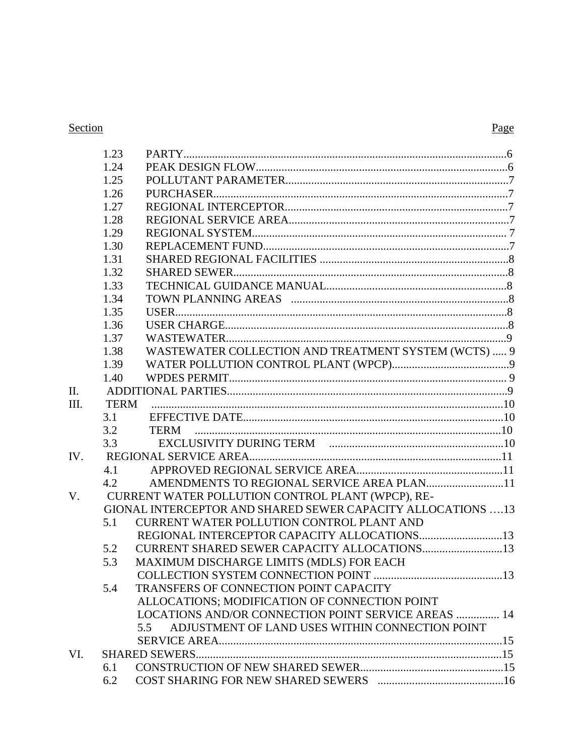# Section

|     | 1.23        |                                                              |  |
|-----|-------------|--------------------------------------------------------------|--|
|     | 1.24        |                                                              |  |
|     | 1.25        |                                                              |  |
|     | 1.26        |                                                              |  |
|     | 1.27        |                                                              |  |
|     | 1.28        |                                                              |  |
|     | 1.29        |                                                              |  |
|     | 1.30        |                                                              |  |
|     | 1.31        |                                                              |  |
|     | 1.32        |                                                              |  |
|     | 1.33        |                                                              |  |
|     | 1.34        |                                                              |  |
|     | 1.35        |                                                              |  |
|     | 1.36        |                                                              |  |
|     | 1.37        |                                                              |  |
|     | 1.38        | WASTEWATER COLLECTION AND TREATMENT SYSTEM (WCTS)  9         |  |
|     | 1.39        |                                                              |  |
|     | 1.40        |                                                              |  |
| II. |             |                                                              |  |
| Ш.  | <b>TERM</b> |                                                              |  |
|     | 3.1         |                                                              |  |
|     | 3.2         |                                                              |  |
|     | 3.3         |                                                              |  |
| IV. |             |                                                              |  |
|     | 4.1         |                                                              |  |
|     | 4.2         | AMENDMENTS TO REGIONAL SERVICE AREA PLAN11                   |  |
| V.  |             | CURRENT WATER POLLUTION CONTROL PLANT (WPCP), RE-            |  |
|     |             | GIONAL INTERCEPTOR AND SHARED SEWER CAPACITY ALLOCATIONS  13 |  |
|     | 5.1         | <b>CURRENT WATER POLLUTION CONTROL PLANT AND</b>             |  |
|     |             | REGIONAL INTERCEPTOR CAPACITY ALLOCATIONS13                  |  |
|     | 5.2         | CURRENT SHARED SEWER CAPACITY ALLOCATIONS13                  |  |
|     | 5.3         | MAXIMUM DISCHARGE LIMITS (MDLS) FOR EACH                     |  |
|     |             |                                                              |  |
|     | 5.4         | TRANSFERS OF CONNECTION POINT CAPACITY                       |  |
|     |             | ALLOCATIONS; MODIFICATION OF CONNECTION POINT                |  |
|     |             | LOCATIONS AND/OR CONNECTION POINT SERVICE AREAS  14          |  |
|     |             | ADJUSTMENT OF LAND USES WITHIN CONNECTION POINT<br>5.5       |  |
|     |             |                                                              |  |
| VI. |             |                                                              |  |
|     | 6.1         |                                                              |  |
|     | 6.2         |                                                              |  |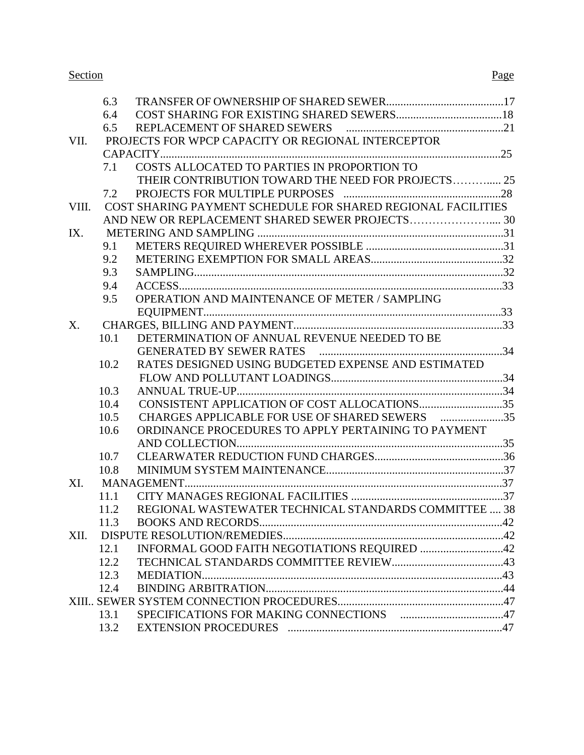#### Section Page

|       | 6.3  |                                                              |  |
|-------|------|--------------------------------------------------------------|--|
|       | 6.4  |                                                              |  |
|       | 6.5  |                                                              |  |
| VII.  |      | PROJECTS FOR WPCP CAPACITY OR REGIONAL INTERCEPTOR           |  |
|       |      |                                                              |  |
|       | 7.1  | COSTS ALLOCATED TO PARTIES IN PROPORTION TO                  |  |
|       |      | THEIR CONTRIBUTION TOWARD THE NEED FOR PROJECTS 25           |  |
|       | 7.2  |                                                              |  |
| VIII. |      | COST SHARING PAYMENT SCHEDULE FOR SHARED REGIONAL FACILITIES |  |
|       |      |                                                              |  |
| IX.   |      |                                                              |  |
|       | 9.1  |                                                              |  |
|       | 9.2  |                                                              |  |
|       | 9.3  |                                                              |  |
|       | 9.4  |                                                              |  |
|       | 9.5  | OPERATION AND MAINTENANCE OF METER / SAMPLING                |  |
|       |      |                                                              |  |
| X.    |      |                                                              |  |
|       | 10.1 | DETERMINATION OF ANNUAL REVENUE NEEDED TO BE                 |  |
|       |      |                                                              |  |
|       | 10.2 | RATES DESIGNED USING BUDGETED EXPENSE AND ESTIMATED          |  |
|       |      |                                                              |  |
|       | 10.3 |                                                              |  |
|       | 10.4 |                                                              |  |
|       | 10.5 | CHARGES APPLICABLE FOR USE OF SHARED SEWERS 35               |  |
|       | 10.6 | ORDINANCE PROCEDURES TO APPLY PERTAINING TO PAYMENT          |  |
|       |      |                                                              |  |
|       | 10.7 |                                                              |  |
|       | 10.8 |                                                              |  |
| XI.   |      |                                                              |  |
|       | 11.1 |                                                              |  |
|       | 11.2 | REGIONAL WASTEWATER TECHNICAL STANDARDS COMMITTEE  38        |  |
|       | 11.3 |                                                              |  |
| XII.  |      |                                                              |  |
|       | 12.1 | INFORMAL GOOD FAITH NEGOTIATIONS REQUIRED 42                 |  |
|       | 12.2 |                                                              |  |
|       | 12.3 |                                                              |  |
|       | 12.4 |                                                              |  |
|       |      |                                                              |  |
|       | 13.1 |                                                              |  |
|       | 13.2 |                                                              |  |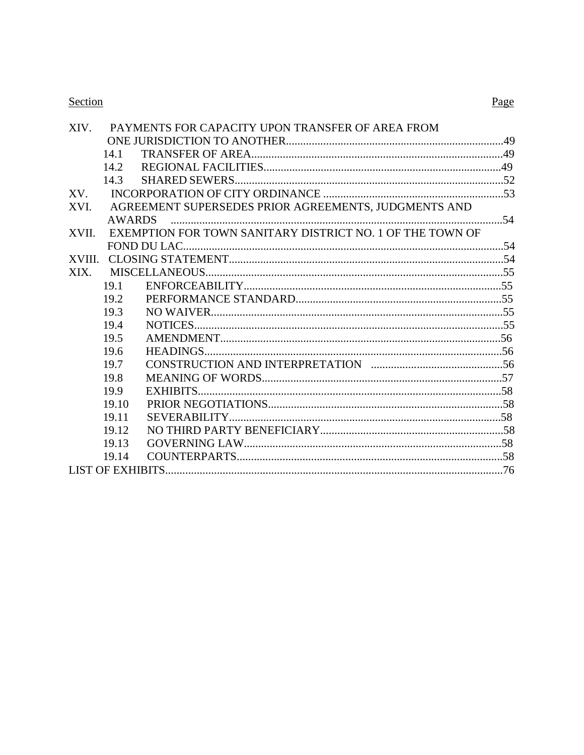# Section

| XIV.   |               | PAYMENTS FOR CAPACITY UPON TRANSFER OF AREA FROM          |  |
|--------|---------------|-----------------------------------------------------------|--|
|        |               |                                                           |  |
|        | 14.1          |                                                           |  |
|        | 14.2          |                                                           |  |
|        | 14.3          |                                                           |  |
| XV.    |               |                                                           |  |
| XVI.   |               | AGREEMENT SUPERSEDES PRIOR AGREEMENTS, JUDGMENTS AND      |  |
|        | <b>AWARDS</b> |                                                           |  |
| XVII.  |               | EXEMPTION FOR TOWN SANITARY DISTRICT NO. 1 OF THE TOWN OF |  |
|        |               |                                                           |  |
| XVIII. |               |                                                           |  |
| XIX.   |               |                                                           |  |
|        | 19.1          |                                                           |  |
|        | 19.2          |                                                           |  |
|        | 19.3          |                                                           |  |
|        | 19.4          |                                                           |  |
|        | 19.5          |                                                           |  |
|        | 19.6          |                                                           |  |
|        | 19.7          |                                                           |  |
|        | 19.8          |                                                           |  |
|        | 19.9          |                                                           |  |
|        | 19.10         |                                                           |  |
|        | 19.11         |                                                           |  |
|        | 19.12         |                                                           |  |
|        | 19.13         |                                                           |  |
|        | 19.14         |                                                           |  |
|        |               |                                                           |  |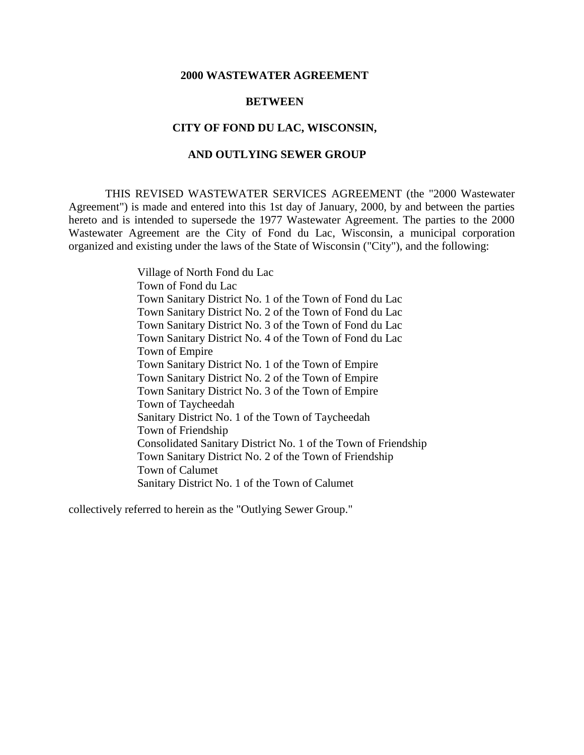#### **2000 WASTEWATER AGREEMENT**

#### **BETWEEN**

#### **CITY OF FOND DU LAC, WISCONSIN,**

#### **AND OUTLYING SEWER GROUP**

 THIS REVISED WASTEWATER SERVICES AGREEMENT (the "2000 Wastewater Agreement") is made and entered into this 1st day of January, 2000, by and between the parties hereto and is intended to supersede the 1977 Wastewater Agreement. The parties to the 2000 Wastewater Agreement are the City of Fond du Lac, Wisconsin, a municipal corporation organized and existing under the laws of the State of Wisconsin ("City"), and the following:

> Village of North Fond du Lac Town of Fond du Lac Town Sanitary District No. 1 of the Town of Fond du Lac Town Sanitary District No. 2 of the Town of Fond du Lac Town Sanitary District No. 3 of the Town of Fond du Lac Town Sanitary District No. 4 of the Town of Fond du Lac Town of Empire Town Sanitary District No. 1 of the Town of Empire Town Sanitary District No. 2 of the Town of Empire Town Sanitary District No. 3 of the Town of Empire Town of Taycheedah Sanitary District No. 1 of the Town of Taycheedah Town of Friendship Consolidated Sanitary District No. 1 of the Town of Friendship Town Sanitary District No. 2 of the Town of Friendship Town of Calumet Sanitary District No. 1 of the Town of Calumet

collectively referred to herein as the "Outlying Sewer Group."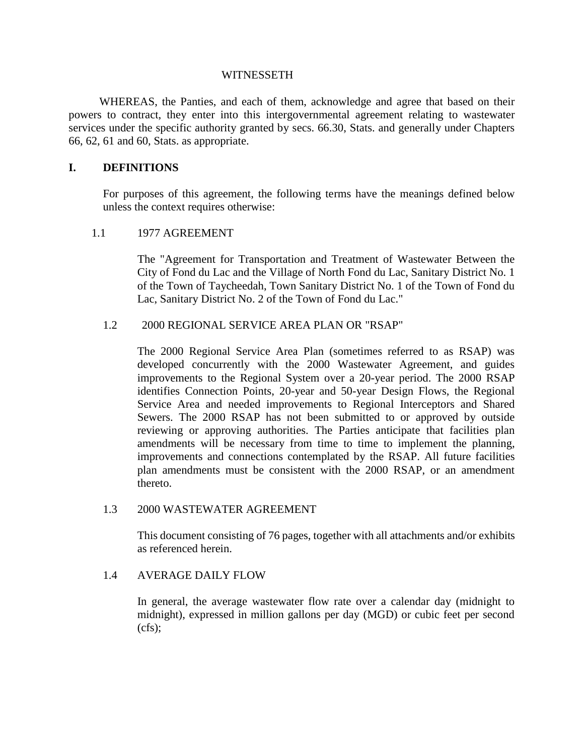#### **WITNESSETH**

 WHEREAS, the Panties, and each of them, acknowledge and agree that based on their powers to contract, they enter into this intergovernmental agreement relating to wastewater services under the specific authority granted by secs. 66.30, Stats. and generally under Chapters 66, 62, 61 and 60, Stats. as appropriate.

## **I. DEFINITIONS**

For purposes of this agreement, the following terms have the meanings defined below unless the context requires otherwise:

#### 1.1 1977 AGREEMENT

 The "Agreement for Transportation and Treatment of Wastewater Between the City of Fond du Lac and the Village of North Fond du Lac, Sanitary District No. 1 of the Town of Taycheedah, Town Sanitary District No. 1 of the Town of Fond du Lac, Sanitary District No. 2 of the Town of Fond du Lac."

## 1.2 2000 REGIONAL SERVICE AREA PLAN OR "RSAP"

The 2000 Regional Service Area Plan (sometimes referred to as RSAP) was developed concurrently with the 2000 Wastewater Agreement, and guides improvements to the Regional System over a 20-year period. The 2000 RSAP identifies Connection Points, 20-year and 50-year Design Flows, the Regional Service Area and needed improvements to Regional Interceptors and Shared Sewers. The 2000 RSAP has not been submitted to or approved by outside reviewing or approving authorities. The Parties anticipate that facilities plan amendments will be necessary from time to time to implement the planning, improvements and connections contemplated by the RSAP. All future facilities plan amendments must be consistent with the 2000 RSAP, or an amendment thereto.

#### 1.3 2000 WASTEWATER AGREEMENT

This document consisting of 76 pages, together with all attachments and/or exhibits as referenced herein.

#### 1.4 AVERAGE DAILY FLOW

In general, the average wastewater flow rate over a calendar day (midnight to midnight), expressed in million gallons per day (MGD) or cubic feet per second  $(cfs)$ ;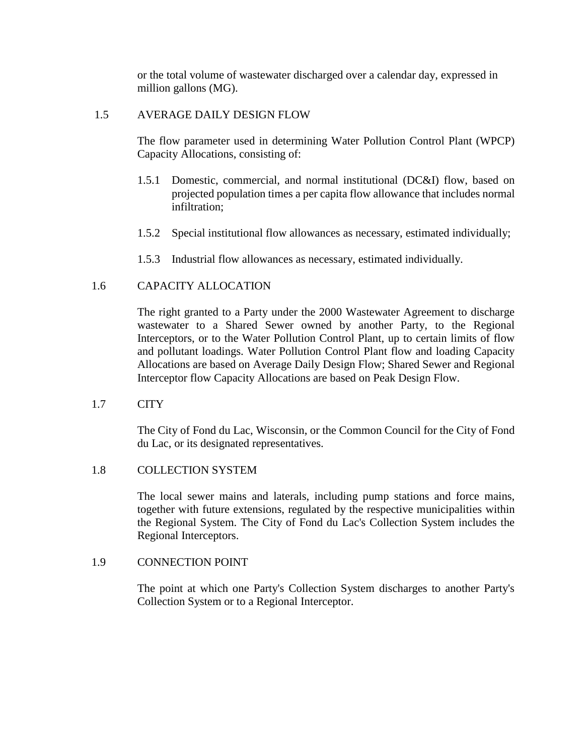or the total volume of wastewater discharged over a calendar day, expressed in million gallons (MG).

## 1.5 AVERAGE DAILY DESIGN FLOW

The flow parameter used in determining Water Pollution Control Plant (WPCP) Capacity Allocations, consisting of:

- 1.5.1 Domestic, commercial, and normal institutional (DC&I) flow, based on projected population times a per capita flow allowance that includes normal infiltration;
- 1.5.2 Special institutional flow allowances as necessary, estimated individually;
- 1.5.3 Industrial flow allowances as necessary, estimated individually.

## 1.6 CAPACITY ALLOCATION

The right granted to a Party under the 2000 Wastewater Agreement to discharge wastewater to a Shared Sewer owned by another Party, to the Regional Interceptors, or to the Water Pollution Control Plant, up to certain limits of flow and pollutant loadings. Water Pollution Control Plant flow and loading Capacity Allocations are based on Average Daily Design Flow; Shared Sewer and Regional Interceptor flow Capacity Allocations are based on Peak Design Flow.

## 1.7 CITY

The City of Fond du Lac, Wisconsin, or the Common Council for the City of Fond du Lac, or its designated representatives.

## 1.8 COLLECTION SYSTEM

The local sewer mains and laterals, including pump stations and force mains, together with future extensions, regulated by the respective municipalities within the Regional System. The City of Fond du Lac's Collection System includes the Regional Interceptors.

## 1.9 CONNECTION POINT

The point at which one Party's Collection System discharges to another Party's Collection System or to a Regional Interceptor.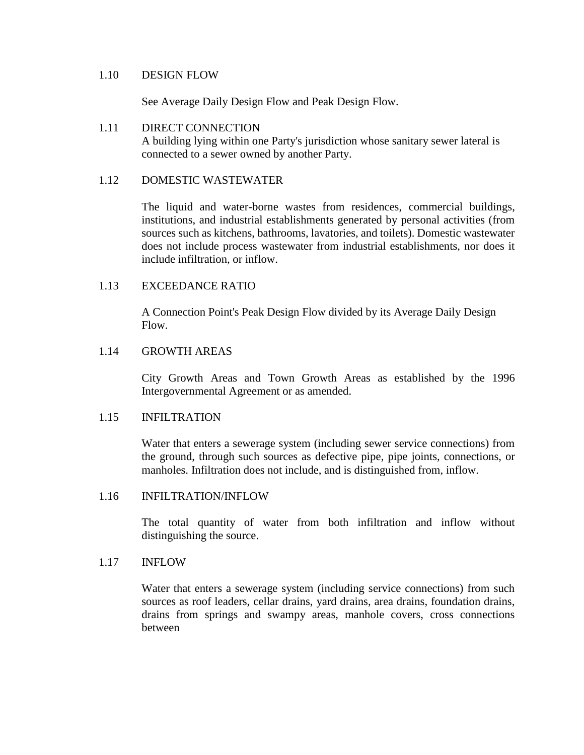#### 1.10 DESIGN FLOW

See Average Daily Design Flow and Peak Design Flow.

## 1.11 DIRECT CONNECTION A building lying within one Party's jurisdiction whose sanitary sewer lateral is connected to a sewer owned by another Party.

## 1.12 DOMESTIC WASTEWATER

The liquid and water-borne wastes from residences, commercial buildings, institutions, and industrial establishments generated by personal activities (from sources such as kitchens, bathrooms, lavatories, and toilets). Domestic wastewater does not include process wastewater from industrial establishments, nor does it include infiltration, or inflow.

## 1.13 EXCEEDANCE RATIO

A Connection Point's Peak Design Flow divided by its Average Daily Design Flow.

## 1.14 GROWTH AREAS

City Growth Areas and Town Growth Areas as established by the 1996 Intergovernmental Agreement or as amended.

#### 1.15 INFILTRATION

Water that enters a sewerage system (including sewer service connections) from the ground, through such sources as defective pipe, pipe joints, connections, or manholes. Infiltration does not include, and is distinguished from, inflow.

#### 1.16 INFILTRATION/INFLOW

The total quantity of water from both infiltration and inflow without distinguishing the source.

## 1.17 INFLOW

Water that enters a sewerage system (including service connections) from such sources as roof leaders, cellar drains, yard drains, area drains, foundation drains, drains from springs and swampy areas, manhole covers, cross connections between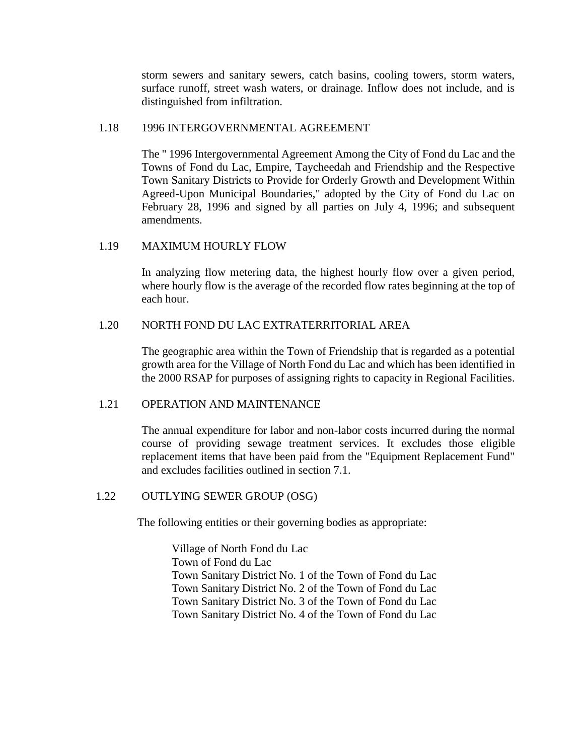storm sewers and sanitary sewers, catch basins, cooling towers, storm waters, surface runoff, street wash waters, or drainage. Inflow does not include, and is distinguished from infiltration.

## 1.18 1996 INTERGOVERNMENTAL AGREEMENT

The " 1996 Intergovernmental Agreement Among the City of Fond du Lac and the Towns of Fond du Lac, Empire, Taycheedah and Friendship and the Respective Town Sanitary Districts to Provide for Orderly Growth and Development Within Agreed-Upon Municipal Boundaries," adopted by the City of Fond du Lac on February 28, 1996 and signed by all parties on July 4, 1996; and subsequent amendments.

## 1.19 MAXIMUM HOURLY FLOW

In analyzing flow metering data, the highest hourly flow over a given period, where hourly flow is the average of the recorded flow rates beginning at the top of each hour.

## 1.20 NORTH FOND DU LAC EXTRATERRITORIAL AREA

The geographic area within the Town of Friendship that is regarded as a potential growth area for the Village of North Fond du Lac and which has been identified in the 2000 RSAP for purposes of assigning rights to capacity in Regional Facilities.

#### 1.21 OPERATION AND MAINTENANCE

The annual expenditure for labor and non-labor costs incurred during the normal course of providing sewage treatment services. It excludes those eligible replacement items that have been paid from the "Equipment Replacement Fund" and excludes facilities outlined in section 7.1.

#### 1.22 OUTLYING SEWER GROUP (OSG)

The following entities or their governing bodies as appropriate:

Village of North Fond du Lac Town of Fond du Lac Town Sanitary District No. 1 of the Town of Fond du Lac Town Sanitary District No. 2 of the Town of Fond du Lac Town Sanitary District No. 3 of the Town of Fond du Lac Town Sanitary District No. 4 of the Town of Fond du Lac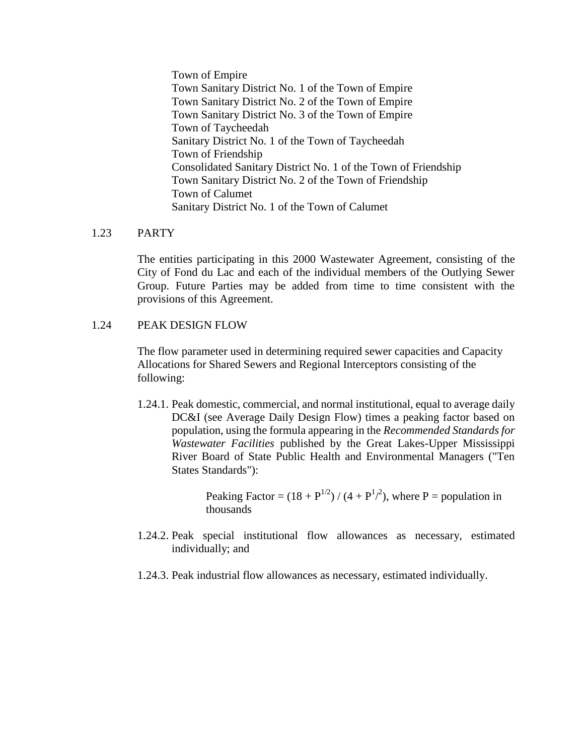Town of Empire Town Sanitary District No. 1 of the Town of Empire Town Sanitary District No. 2 of the Town of Empire Town Sanitary District No. 3 of the Town of Empire Town of Taycheedah Sanitary District No. 1 of the Town of Taycheedah Town of Friendship Consolidated Sanitary District No. 1 of the Town of Friendship Town Sanitary District No. 2 of the Town of Friendship Town of Calumet Sanitary District No. 1 of the Town of Calumet

## 1.23 PARTY

The entities participating in this 2000 Wastewater Agreement, consisting of the City of Fond du Lac and each of the individual members of the Outlying Sewer Group. Future Parties may be added from time to time consistent with the provisions of this Agreement.

## 1.24 PEAK DESIGN FLOW

The flow parameter used in determining required sewer capacities and Capacity Allocations for Shared Sewers and Regional Interceptors consisting of the following:

1.24.1. Peak domestic, commercial, and normal institutional, equal to average daily DC&I (see Average Daily Design Flow) times a peaking factor based on population, using the formula appearing in the *Recommended Standards for Wastewater Facilities* published by the Great Lakes-Upper Mississippi River Board of State Public Health and Environmental Managers ("Ten States Standards"):

> Peaking Factor =  $(18 + P^{1/2}) / (4 + P^{1/2})$ , where P = population in thousands

- 1.24.2. Peak special institutional flow allowances as necessary, estimated individually; and
- 1.24.3. Peak industrial flow allowances as necessary, estimated individually.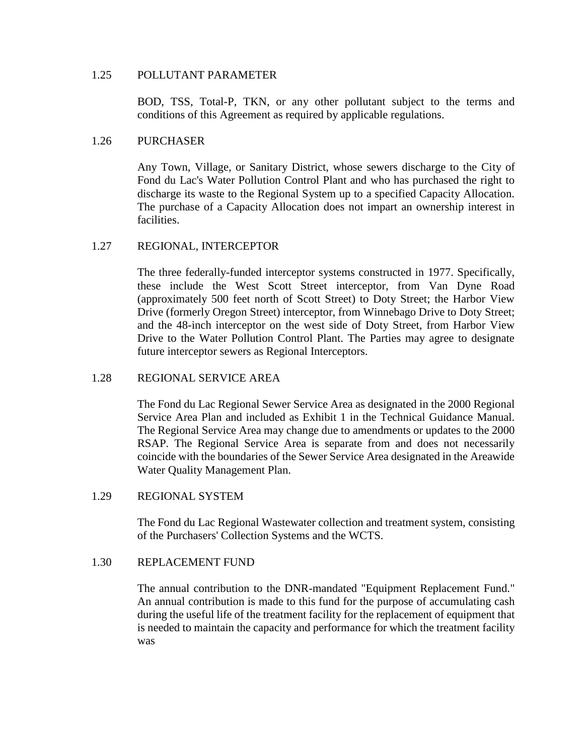## 1.25 POLLUTANT PARAMETER

BOD, TSS, Total-P, TKN, or any other pollutant subject to the terms and conditions of this Agreement as required by applicable regulations.

## 1.26 PURCHASER

Any Town, Village, or Sanitary District, whose sewers discharge to the City of Fond du Lac's Water Pollution Control Plant and who has purchased the right to discharge its waste to the Regional System up to a specified Capacity Allocation. The purchase of a Capacity Allocation does not impart an ownership interest in facilities.

## 1.27 REGIONAL, INTERCEPTOR

The three federally-funded interceptor systems constructed in 1977. Specifically, these include the West Scott Street interceptor, from Van Dyne Road (approximately 500 feet north of Scott Street) to Doty Street; the Harbor View Drive (formerly Oregon Street) interceptor, from Winnebago Drive to Doty Street; and the 48-inch interceptor on the west side of Doty Street, from Harbor View Drive to the Water Pollution Control Plant. The Parties may agree to designate future interceptor sewers as Regional Interceptors.

## 1.28 REGIONAL SERVICE AREA

The Fond du Lac Regional Sewer Service Area as designated in the 2000 Regional Service Area Plan and included as Exhibit 1 in the Technical Guidance Manual. The Regional Service Area may change due to amendments or updates to the 2000 RSAP. The Regional Service Area is separate from and does not necessarily coincide with the boundaries of the Sewer Service Area designated in the Areawide Water Quality Management Plan.

## 1.29 REGIONAL SYSTEM

The Fond du Lac Regional Wastewater collection and treatment system, consisting of the Purchasers' Collection Systems and the WCTS.

#### 1.30 REPLACEMENT FUND

The annual contribution to the DNR-mandated "Equipment Replacement Fund." An annual contribution is made to this fund for the purpose of accumulating cash during the useful life of the treatment facility for the replacement of equipment that is needed to maintain the capacity and performance for which the treatment facility was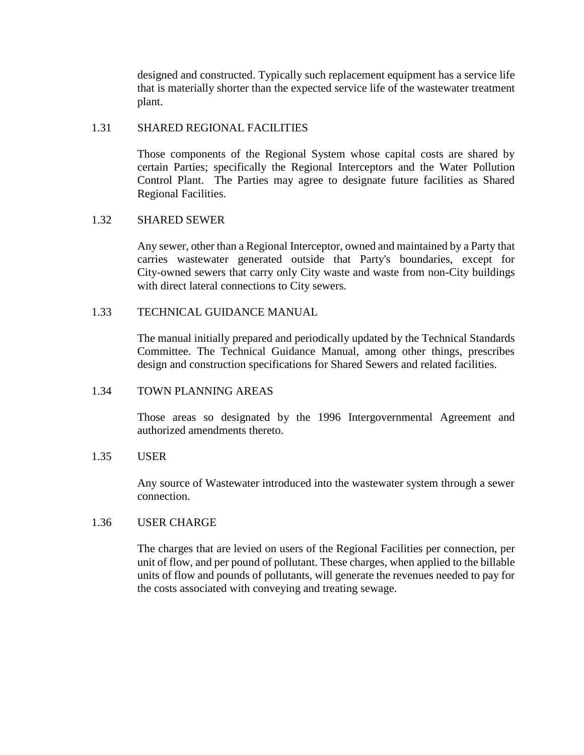designed and constructed. Typically such replacement equipment has a service life that is materially shorter than the expected service life of the wastewater treatment plant.

## 1.31 SHARED REGIONAL FACILITIES

Those components of the Regional System whose capital costs are shared by certain Parties; specifically the Regional Interceptors and the Water Pollution Control Plant. The Parties may agree to designate future facilities as Shared Regional Facilities.

## 1.32 SHARED SEWER

Any sewer, other than a Regional Interceptor, owned and maintained by a Party that carries wastewater generated outside that Party's boundaries, except for City-owned sewers that carry only City waste and waste from non-City buildings with direct lateral connections to City sewers.

## 1.33 TECHNICAL GUIDANCE MANUAL

The manual initially prepared and periodically updated by the Technical Standards Committee. The Technical Guidance Manual, among other things, prescribes design and construction specifications for Shared Sewers and related facilities.

## 1.34 TOWN PLANNING AREAS

Those areas so designated by the 1996 Intergovernmental Agreement and authorized amendments thereto.

## 1.35 USER

Any source of Wastewater introduced into the wastewater system through a sewer connection.

## 1.36 USER CHARGE

The charges that are levied on users of the Regional Facilities per connection, per unit of flow, and per pound of pollutant. These charges, when applied to the billable units of flow and pounds of pollutants, will generate the revenues needed to pay for the costs associated with conveying and treating sewage.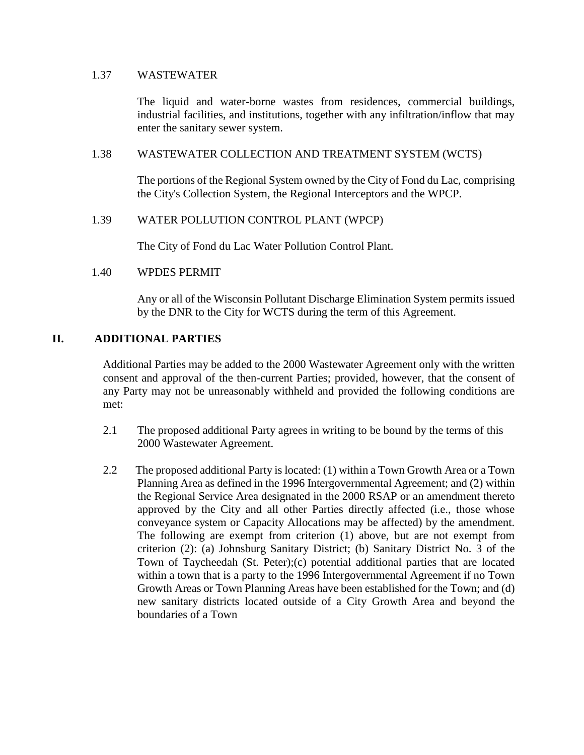## 1.37 WASTEWATER

The liquid and water-borne wastes from residences, commercial buildings, industrial facilities, and institutions, together with any infiltration/inflow that may enter the sanitary sewer system.

## 1.38 WASTEWATER COLLECTION AND TREATMENT SYSTEM (WCTS)

The portions of the Regional System owned by the City of Fond du Lac, comprising the City's Collection System, the Regional Interceptors and the WPCP.

## 1.39 WATER POLLUTION CONTROL PLANT (WPCP)

The City of Fond du Lac Water Pollution Control Plant.

## 1.40 WPDES PERMIT

Any or all of the Wisconsin Pollutant Discharge Elimination System permits issued by the DNR to the City for WCTS during the term of this Agreement.

## **II. ADDITIONAL PARTIES**

Additional Parties may be added to the 2000 Wastewater Agreement only with the written consent and approval of the then-current Parties; provided, however, that the consent of any Party may not be unreasonably withheld and provided the following conditions are met:

- 2.1 The proposed additional Party agrees in writing to be bound by the terms of this 2000 Wastewater Agreement.
- 2.2 The proposed additional Party is located: (1) within a Town Growth Area or a Town Planning Area as defined in the 1996 Intergovernmental Agreement; and (2) within the Regional Service Area designated in the 2000 RSAP or an amendment thereto approved by the City and all other Parties directly affected (i.e., those whose conveyance system or Capacity Allocations may be affected) by the amendment. The following are exempt from criterion (1) above, but are not exempt from criterion (2): (a) Johnsburg Sanitary District; (b) Sanitary District No. 3 of the Town of Taycheedah (St. Peter);(c) potential additional parties that are located within a town that is a party to the 1996 Intergovernmental Agreement if no Town Growth Areas or Town Planning Areas have been established for the Town; and (d) new sanitary districts located outside of a City Growth Area and beyond the boundaries of a Town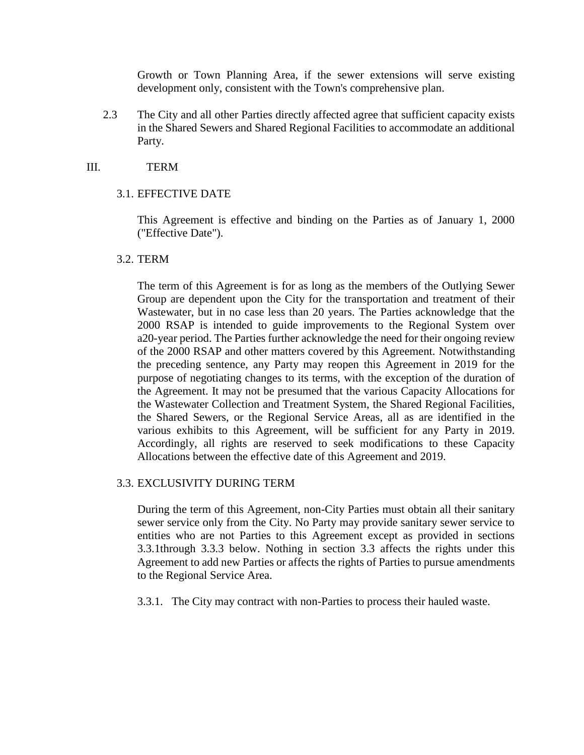Growth or Town Planning Area, if the sewer extensions will serve existing development only, consistent with the Town's comprehensive plan.

2.3 The City and all other Parties directly affected agree that sufficient capacity exists in the Shared Sewers and Shared Regional Facilities to accommodate an additional Party.

## III. TERM

## 3.1. EFFECTIVE DATE

This Agreement is effective and binding on the Parties as of January 1, 2000 ("Effective Date").

## 3.2. TERM

The term of this Agreement is for as long as the members of the Outlying Sewer Group are dependent upon the City for the transportation and treatment of their Wastewater, but in no case less than 20 years. The Parties acknowledge that the 2000 RSAP is intended to guide improvements to the Regional System over a20-year period. The Parties further acknowledge the need for their ongoing review of the 2000 RSAP and other matters covered by this Agreement. Notwithstanding the preceding sentence, any Party may reopen this Agreement in 2019 for the purpose of negotiating changes to its terms, with the exception of the duration of the Agreement. It may not be presumed that the various Capacity Allocations for the Wastewater Collection and Treatment System, the Shared Regional Facilities, the Shared Sewers, or the Regional Service Areas, all as are identified in the various exhibits to this Agreement, will be sufficient for any Party in 2019. Accordingly, all rights are reserved to seek modifications to these Capacity Allocations between the effective date of this Agreement and 2019.

## 3.3. EXCLUSIVITY DURING TERM

During the term of this Agreement, non-City Parties must obtain all their sanitary sewer service only from the City. No Party may provide sanitary sewer service to entities who are not Parties to this Agreement except as provided in sections 3.3.1through 3.3.3 below. Nothing in section 3.3 affects the rights under this Agreement to add new Parties or affects the rights of Parties to pursue amendments to the Regional Service Area.

3.3.1. The City may contract with non-Parties to process their hauled waste.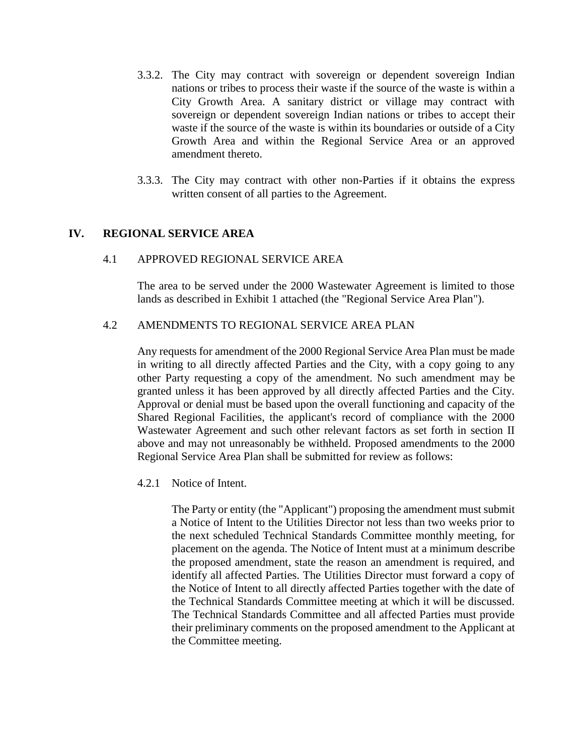- 3.3.2. The City may contract with sovereign or dependent sovereign Indian nations or tribes to process their waste if the source of the waste is within a City Growth Area. A sanitary district or village may contract with sovereign or dependent sovereign Indian nations or tribes to accept their waste if the source of the waste is within its boundaries or outside of a City Growth Area and within the Regional Service Area or an approved amendment thereto.
- 3.3.3. The City may contract with other non-Parties if it obtains the express written consent of all parties to the Agreement.

## **IV. REGIONAL SERVICE AREA**

#### 4.1 APPROVED REGIONAL SERVICE AREA

The area to be served under the 2000 Wastewater Agreement is limited to those lands as described in Exhibit 1 attached (the "Regional Service Area Plan").

## 4.2 AMENDMENTS TO REGIONAL SERVICE AREA PLAN

Any requests for amendment of the 2000 Regional Service Area Plan must be made in writing to all directly affected Parties and the City, with a copy going to any other Party requesting a copy of the amendment. No such amendment may be granted unless it has been approved by all directly affected Parties and the City. Approval or denial must be based upon the overall functioning and capacity of the Shared Regional Facilities, the applicant's record of compliance with the 2000 Wastewater Agreement and such other relevant factors as set forth in section II above and may not unreasonably be withheld. Proposed amendments to the 2000 Regional Service Area Plan shall be submitted for review as follows:

4.2.1 Notice of Intent.

The Party or entity (the "Applicant") proposing the amendment must submit a Notice of Intent to the Utilities Director not less than two weeks prior to the next scheduled Technical Standards Committee monthly meeting, for placement on the agenda. The Notice of Intent must at a minimum describe the proposed amendment, state the reason an amendment is required, and identify all affected Parties. The Utilities Director must forward a copy of the Notice of Intent to all directly affected Parties together with the date of the Technical Standards Committee meeting at which it will be discussed. The Technical Standards Committee and all affected Parties must provide their preliminary comments on the proposed amendment to the Applicant at the Committee meeting.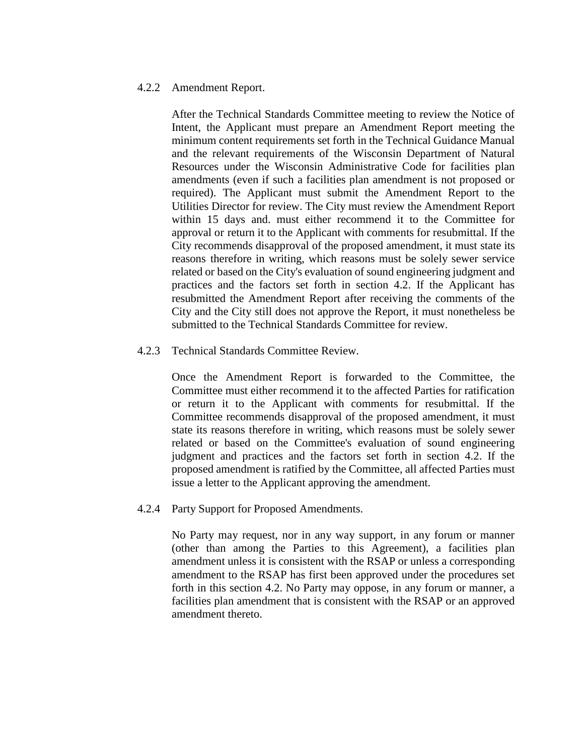#### 4.2.2 Amendment Report.

After the Technical Standards Committee meeting to review the Notice of Intent, the Applicant must prepare an Amendment Report meeting the minimum content requirements set forth in the Technical Guidance Manual and the relevant requirements of the Wisconsin Department of Natural Resources under the Wisconsin Administrative Code for facilities plan amendments (even if such a facilities plan amendment is not proposed or required). The Applicant must submit the Amendment Report to the Utilities Director for review. The City must review the Amendment Report within 15 days and. must either recommend it to the Committee for approval or return it to the Applicant with comments for resubmittal. If the City recommends disapproval of the proposed amendment, it must state its reasons therefore in writing, which reasons must be solely sewer service related or based on the City's evaluation of sound engineering judgment and practices and the factors set forth in section 4.2. If the Applicant has resubmitted the Amendment Report after receiving the comments of the City and the City still does not approve the Report, it must nonetheless be submitted to the Technical Standards Committee for review.

4.2.3 Technical Standards Committee Review.

Once the Amendment Report is forwarded to the Committee, the Committee must either recommend it to the affected Parties for ratification or return it to the Applicant with comments for resubmittal. If the Committee recommends disapproval of the proposed amendment, it must state its reasons therefore in writing, which reasons must be solely sewer related or based on the Committee's evaluation of sound engineering judgment and practices and the factors set forth in section 4.2. If the proposed amendment is ratified by the Committee, all affected Parties must issue a letter to the Applicant approving the amendment.

4.2.4 Party Support for Proposed Amendments.

No Party may request, nor in any way support, in any forum or manner (other than among the Parties to this Agreement), a facilities plan amendment unless it is consistent with the RSAP or unless a corresponding amendment to the RSAP has first been approved under the procedures set forth in this section 4.2. No Party may oppose, in any forum or manner, a facilities plan amendment that is consistent with the RSAP or an approved amendment thereto.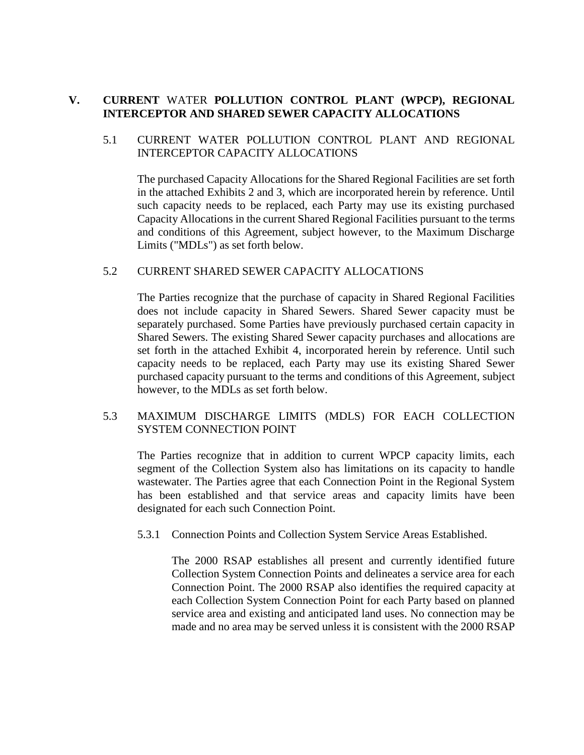## **V. CURRENT** WATER **POLLUTION CONTROL PLANT (WPCP), REGIONAL INTERCEPTOR AND SHARED SEWER CAPACITY ALLOCATIONS**

## 5.1 CURRENT WATER POLLUTION CONTROL PLANT AND REGIONAL INTERCEPTOR CAPACITY ALLOCATIONS

The purchased Capacity Allocations for the Shared Regional Facilities are set forth in the attached Exhibits 2 and 3, which are incorporated herein by reference. Until such capacity needs to be replaced, each Party may use its existing purchased Capacity Allocations in the current Shared Regional Facilities pursuant to the terms and conditions of this Agreement, subject however, to the Maximum Discharge Limits ("MDLs") as set forth below.

## 5.2 CURRENT SHARED SEWER CAPACITY ALLOCATIONS

The Parties recognize that the purchase of capacity in Shared Regional Facilities does not include capacity in Shared Sewers. Shared Sewer capacity must be separately purchased. Some Parties have previously purchased certain capacity in Shared Sewers. The existing Shared Sewer capacity purchases and allocations are set forth in the attached Exhibit 4, incorporated herein by reference. Until such capacity needs to be replaced, each Party may use its existing Shared Sewer purchased capacity pursuant to the terms and conditions of this Agreement, subject however, to the MDLs as set forth below.

## 5.3 MAXIMUM DISCHARGE LIMITS (MDLS) FOR EACH COLLECTION SYSTEM CONNECTION POINT

The Parties recognize that in addition to current WPCP capacity limits, each segment of the Collection System also has limitations on its capacity to handle wastewater. The Parties agree that each Connection Point in the Regional System has been established and that service areas and capacity limits have been designated for each such Connection Point.

5.3.1 Connection Points and Collection System Service Areas Established.

The 2000 RSAP establishes all present and currently identified future Collection System Connection Points and delineates a service area for each Connection Point. The 2000 RSAP also identifies the required capacity at each Collection System Connection Point for each Party based on planned service area and existing and anticipated land uses. No connection may be made and no area may be served unless it is consistent with the 2000 RSAP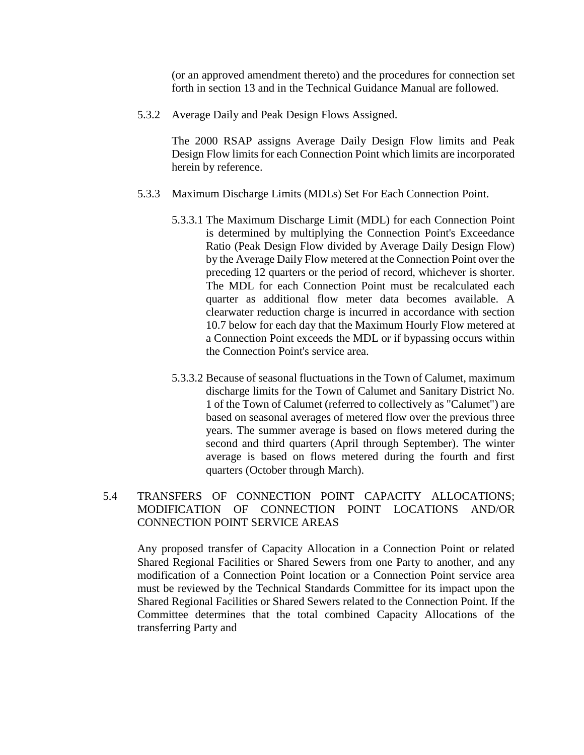(or an approved amendment thereto) and the procedures for connection set forth in section 13 and in the Technical Guidance Manual are followed.

5.3.2 Average Daily and Peak Design Flows Assigned.

The 2000 RSAP assigns Average Daily Design Flow limits and Peak Design Flow limits for each Connection Point which limits are incorporated herein by reference.

- 5.3.3 Maximum Discharge Limits (MDLs) Set For Each Connection Point.
	- 5.3.3.1 The Maximum Discharge Limit (MDL) for each Connection Point is determined by multiplying the Connection Point's Exceedance Ratio (Peak Design Flow divided by Average Daily Design Flow) by the Average Daily Flow metered at the Connection Point over the preceding 12 quarters or the period of record, whichever is shorter. The MDL for each Connection Point must be recalculated each quarter as additional flow meter data becomes available. A clearwater reduction charge is incurred in accordance with section 10.7 below for each day that the Maximum Hourly Flow metered at a Connection Point exceeds the MDL or if bypassing occurs within the Connection Point's service area.
	- 5.3.3.2 Because of seasonal fluctuations in the Town of Calumet, maximum discharge limits for the Town of Calumet and Sanitary District No. 1 of the Town of Calumet (referred to collectively as "Calumet") are based on seasonal averages of metered flow over the previous three years. The summer average is based on flows metered during the second and third quarters (April through September). The winter average is based on flows metered during the fourth and first quarters (October through March).

## 5.4 TRANSFERS OF CONNECTION POINT CAPACITY ALLOCATIONS; MODIFICATION OF CONNECTION POINT LOCATIONS AND/OR CONNECTION POINT SERVICE AREAS

Any proposed transfer of Capacity Allocation in a Connection Point or related Shared Regional Facilities or Shared Sewers from one Party to another, and any modification of a Connection Point location or a Connection Point service area must be reviewed by the Technical Standards Committee for its impact upon the Shared Regional Facilities or Shared Sewers related to the Connection Point. If the Committee determines that the total combined Capacity Allocations of the transferring Party and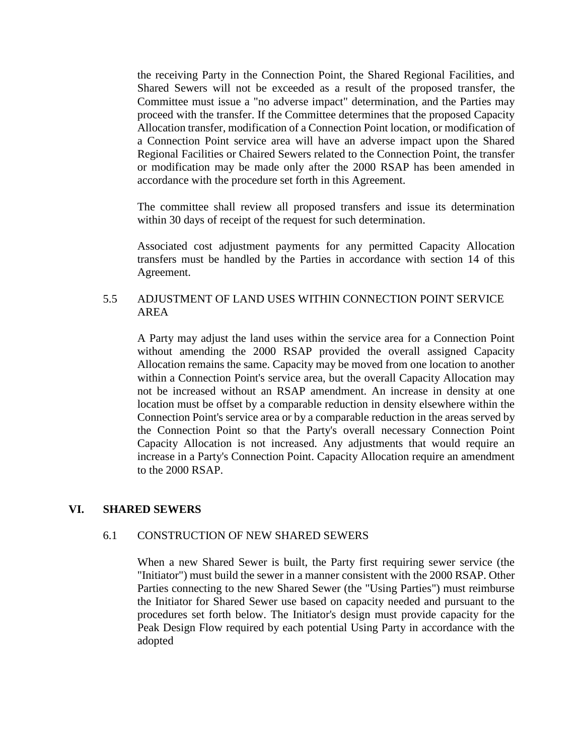the receiving Party in the Connection Point, the Shared Regional Facilities, and Shared Sewers will not be exceeded as a result of the proposed transfer, the Committee must issue a "no adverse impact" determination, and the Parties may proceed with the transfer. If the Committee determines that the proposed Capacity Allocation transfer, modification of a Connection Point location, or modification of a Connection Point service area will have an adverse impact upon the Shared Regional Facilities or Chaired Sewers related to the Connection Point, the transfer or modification may be made only after the 2000 RSAP has been amended in accordance with the procedure set forth in this Agreement.

The committee shall review all proposed transfers and issue its determination within 30 days of receipt of the request for such determination.

Associated cost adjustment payments for any permitted Capacity Allocation transfers must be handled by the Parties in accordance with section 14 of this Agreement.

## 5.5 ADJUSTMENT OF LAND USES WITHIN CONNECTION POINT SERVICE AREA

A Party may adjust the land uses within the service area for a Connection Point without amending the 2000 RSAP provided the overall assigned Capacity Allocation remains the same. Capacity may be moved from one location to another within a Connection Point's service area, but the overall Capacity Allocation may not be increased without an RSAP amendment. An increase in density at one location must be offset by a comparable reduction in density elsewhere within the Connection Point's service area or by a comparable reduction in the areas served by the Connection Point so that the Party's overall necessary Connection Point Capacity Allocation is not increased. Any adjustments that would require an increase in a Party's Connection Point. Capacity Allocation require an amendment to the 2000 RSAP.

## **VI. SHARED SEWERS**

## 6.1 CONSTRUCTION OF NEW SHARED SEWERS

When a new Shared Sewer is built, the Party first requiring sewer service (the "Initiator") must build the sewer in a manner consistent with the 2000 RSAP. Other Parties connecting to the new Shared Sewer (the "Using Parties") must reimburse the Initiator for Shared Sewer use based on capacity needed and pursuant to the procedures set forth below. The Initiator's design must provide capacity for the Peak Design Flow required by each potential Using Party in accordance with the adopted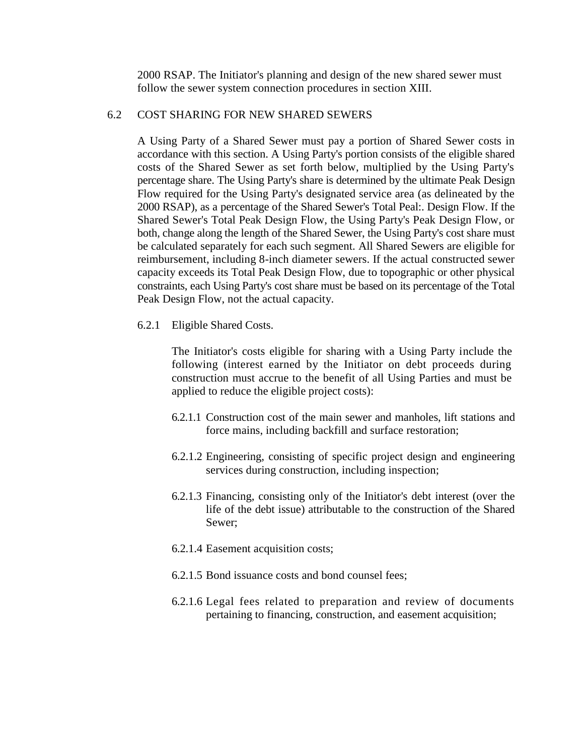2000 RSAP. The Initiator's planning and design of the new shared sewer must follow the sewer system connection procedures in section XIII.

## 6.2 COST SHARING FOR NEW SHARED SEWERS

A Using Party of a Shared Sewer must pay a portion of Shared Sewer costs in accordance with this section. A Using Party's portion consists of the eligible shared costs of the Shared Sewer as set forth below, multiplied by the Using Party's percentage share. The Using Party's share is determined by the ultimate Peak Design Flow required for the Using Party's designated service area (as delineated by the 2000 RSAP), as a percentage of the Shared Sewer's Total Peal:. Design Flow. If the Shared Sewer's Total Peak Design Flow, the Using Party's Peak Design Flow, or both, change along the length of the Shared Sewer, the Using Party's cost share must be calculated separately for each such segment. All Shared Sewers are eligible for reimbursement, including 8-inch diameter sewers. If the actual constructed sewer capacity exceeds its Total Peak Design Flow, due to topographic or other physical constraints, each Using Party's cost share must be based on its percentage of the Total Peak Design Flow, not the actual capacity.

6.2.1 Eligible Shared Costs.

The Initiator's costs eligible for sharing with a Using Party include the following (interest earned by the Initiator on debt proceeds during construction must accrue to the benefit of all Using Parties and must be applied to reduce the eligible project costs):

- 6.2.1.1 Construction cost of the main sewer and manholes, lift stations and force mains, including backfill and surface restoration;
- 6.2.1.2 Engineering, consisting of specific project design and engineering services during construction, including inspection;
- 6.2.1.3 Financing, consisting only of the Initiator's debt interest (over the life of the debt issue) attributable to the construction of the Shared Sewer;
- 6.2.1.4 Easement acquisition costs;
- 6.2.1.5 Bond issuance costs and bond counsel fees;
- 6.2.1.6 Legal fees related to preparation and review of documents pertaining to financing, construction, and easement acquisition;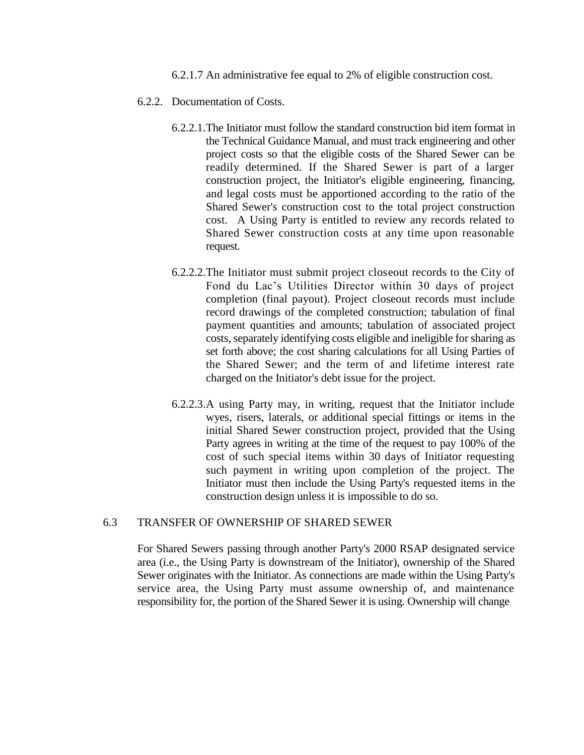6.2.1.7 An administrative fee equal to 2% of eligible construction cost.

- 6.2.2. Documentation of Costs.
	- 6.2.2.1.The Initiator must follow the standard construction bid item format in the Technical Guidance Manual, and must track engineering and other project costs so that the eligible costs of the Shared Sewer can be readily determined. If the Shared Sewer is part of a larger construction project, the Initiator's eligible engineering, financing, and legal costs must be apportioned according to the ratio of the Shared Sewer's construction cost to the total project construction cost. A Using Party is entitled to review any records related to Shared Sewer construction costs at any time upon reasonable request.
	- 6.2.2.2.The Initiator must submit project closeout records to the City of Fond du Lac's Utilities Director within 30 days of project completion (final payout). Project closeout records must include record drawings of the completed construction; tabulation of final payment quantities and amounts; tabulation of associated project costs, separately identifying costs eligible and ineligible for sharing as set forth above; the cost sharing calculations for all Using Parties of the Shared Sewer; and the term of and lifetime interest rate charged on the Initiator's debt issue for the project.
	- 6.2.2.3.A using Party may, in writing, request that the Initiator include wyes, risers, laterals, or additional special fittings or items in the initial Shared Sewer construction project, provided that the Using Party agrees in writing at the time of the request to pay 100% of the cost of such special items within 30 days of Initiator requesting such payment in writing upon completion of the project. The Initiator must then include the Using Party's requested items in the construction design unless it is impossible to do so.

#### 6.3 TRANSFER OF OWNERSHIP OF SHARED SEWER

For Shared Sewers passing through another Party's 2000 RSAP designated service area (i.e., the Using Party is downstream of the Initiator), ownership of the Shared Sewer originates with the Initiator. As connections are made within the Using Party's service area, the Using Party must assume ownership of, and maintenance responsibility for, the portion of the Shared Sewer it is using. Ownership will change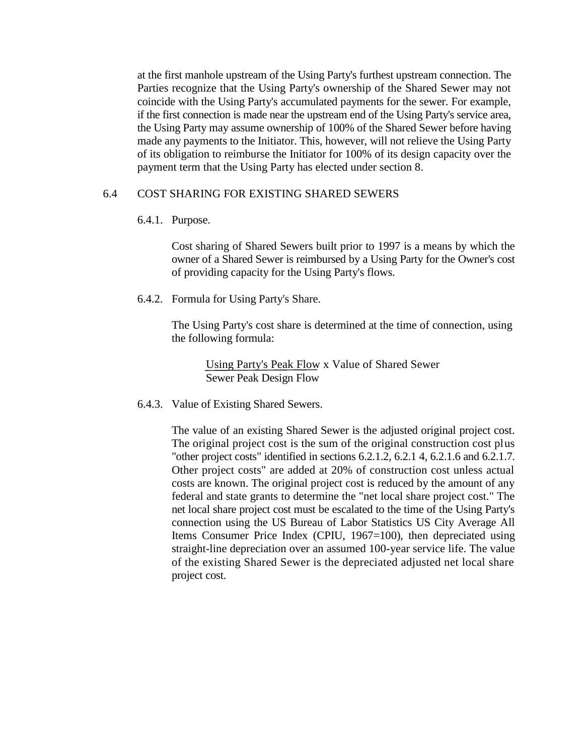at the first manhole upstream of the Using Party's furthest upstream connection. The Parties recognize that the Using Party's ownership of the Shared Sewer may not coincide with the Using Party's accumulated payments for the sewer. For example, if the first connection is made near the upstream end of the Using Party's service area, the Using Party may assume ownership of 100% of the Shared Sewer before having made any payments to the Initiator. This, however, will not relieve the Using Party of its obligation to reimburse the Initiator for 100% of its design capacity over the payment term that the Using Party has elected under section 8.

## 6.4 COST SHARING FOR EXISTING SHARED SEWERS

6.4.1. Purpose.

Cost sharing of Shared Sewers built prior to 1997 is a means by which the owner of a Shared Sewer is reimbursed by a Using Party for the Owner's cost of providing capacity for the Using Party's flows.

6.4.2. Formula for Using Party's Share.

The Using Party's cost share is determined at the time of connection, using the following formula:

Using Party's Peak Flow x Value of Shared Sewer Sewer Peak Design Flow

6.4.3. Value of Existing Shared Sewers.

The value of an existing Shared Sewer is the adjusted original project cost. The original project cost is the sum of the original construction cost plus "other project costs" identified in sections 6.2.1.2, 6.2.1 4*,* 6.2.1.6 and 6.2.1.7. Other project costs" are added at 20% of construction cost unless actual costs are known. The original project cost is reduced by the amount of any federal and state grants to determine the "net local share project cost." The net local share project cost must be escalated to the time of the Using Party's connection using the US Bureau of Labor Statistics US City Average All Items Consumer Price Index (CPIU, 1967=100), then depreciated using straight-line depreciation over an assumed 100-year service life. The value of the existing Shared Sewer is the depreciated adjusted net local share project cost.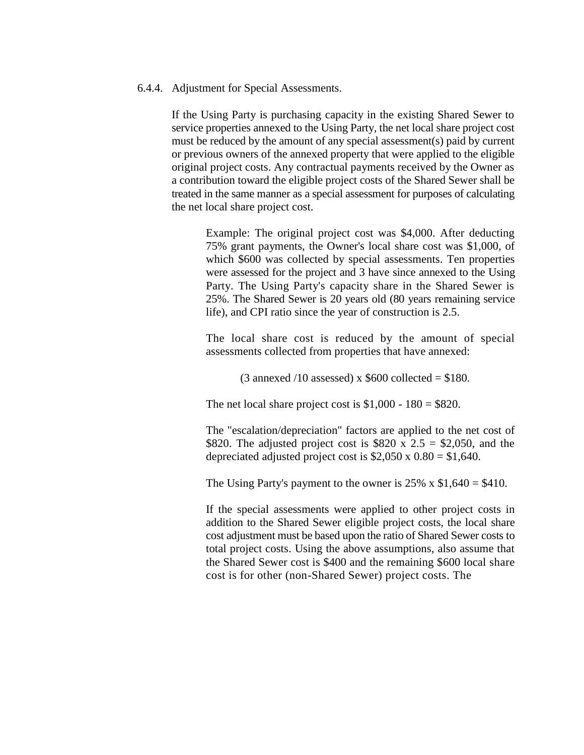#### 6.4.4. Adjustment for Special Assessments.

If the Using Party is purchasing capacity in the existing Shared Sewer to service properties annexed to the Using Party, the net local share project cost must be reduced by the amount of any special assessment(s) paid by current or previous owners of the annexed property that were applied to the eligible original project costs. Any contractual payments received by the Owner as a contribution toward the eligible project costs of the Shared Sewer shall be treated in the same manner as a special assessment for purposes of calculating the net local share project cost.

Example: The original project cost was \$4,000. After deducting 75% grant payments, the Owner's local share cost was \$1,000, of which \$600 was collected by special assessments. Ten properties were assessed for the project and 3 have since annexed to the Using Party. The Using Party's capacity share in the Shared Sewer is 25%. The Shared Sewer is 20 years old (80 years remaining service life), and CPI ratio since the year of construction is 2.5.

The local share cost is reduced by the amount of special assessments collected from properties that have annexed:

(3 annexed /10 assessed) x  $$600$  collected = \$180.

The net local share project cost is  $$1,000 - 180 = $820$ .

The "escalation/depreciation" factors are applied to the net cost of \$820. The adjusted project cost is \$820 x 2.5 = \$2,050, and the depreciated adjusted project cost is  $$2,050 \times 0.80 = $1,640$ .

The Using Party's payment to the owner is  $25\% \times \$1,640 = \$410$ .

If the special assessments were applied to other project costs in addition to the Shared Sewer eligible project costs, the local share cost adjustment must be based upon the ratio of Shared Sewer costs to total project costs. Using the above assumptions, also assume that the Shared Sewer cost is \$400 and the remaining \$600 local share cost is for other (non-Shared Sewer) project costs. The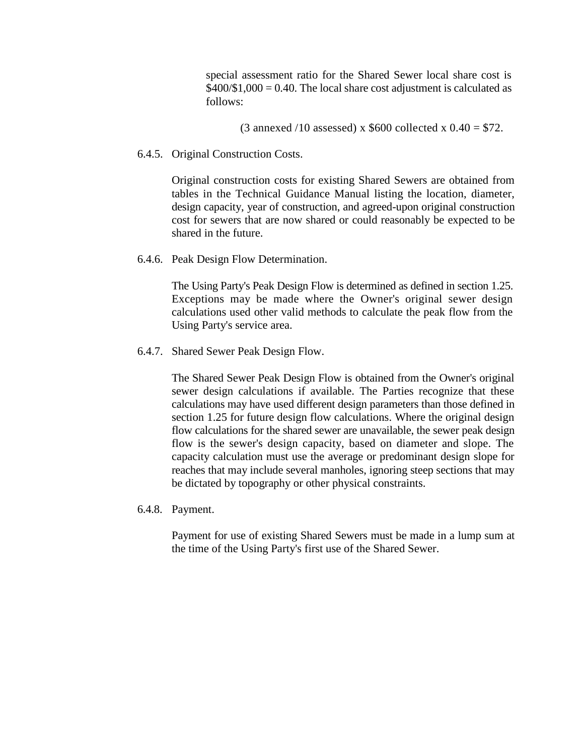special assessment ratio for the Shared Sewer local share cost is  $$400\div1,000 = 0.40$ . The local share cost adjustment is calculated as follows:

(3 annexed /10 assessed) x  $$600$  collected x  $0.40 = $72$ .

6.4.5. Original Construction Costs.

Original construction costs for existing Shared Sewers are obtained from tables in the Technical Guidance Manual listing the location, diameter, design capacity, year of construction, and agreed-upon original construction cost for sewers that are now shared or could reasonably be expected to be shared in the future.

6.4.6. Peak Design Flow Determination.

The Using Party's Peak Design Flow is determined as defined in section 1.25. Exceptions may be made where the Owner's original sewer design calculations used other valid methods to calculate the peak flow from the Using Party's service area.

6.4.7. Shared Sewer Peak Design Flow.

The Shared Sewer Peak Design Flow is obtained from the Owner's original sewer design calculations if available. The Parties recognize that these calculations may have used different design parameters than those defined in section 1.25 for future design flow calculations. Where the original design flow calculations for the shared sewer are unavailable, the sewer peak design flow is the sewer's design capacity, based on diameter and slope. The capacity calculation must use the average or predominant design slope for reaches that may include several manholes, ignoring steep sections that may be dictated by topography or other physical constraints.

6.4.8. Payment.

Payment for use of existing Shared Sewers must be made in a lump sum at the time of the Using Party's first use of the Shared Sewer.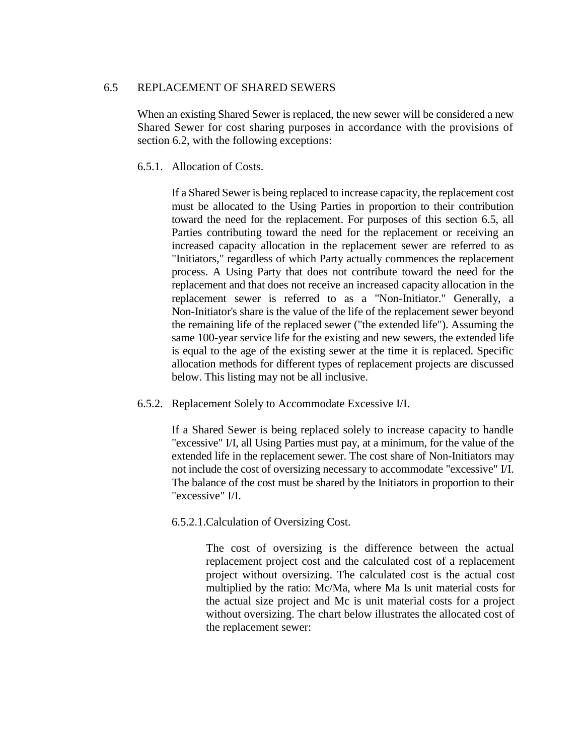## 6.5 REPLACEMENT OF SHARED SEWERS

When an existing Shared Sewer is replaced, the new sewer will be considered a new Shared Sewer for cost sharing purposes in accordance with the provisions of section 6.2, with the following exceptions:

## 6.5.1. Allocation of Costs.

If a Shared Sewer is being replaced to increase capacity, the replacement cost must be allocated to the Using Parties in proportion to their contribution toward the need for the replacement. For purposes of this section 6.5, all Parties contributing toward the need for the replacement or receiving an increased capacity allocation in the replacement sewer are referred to as "Initiators," regardless of which Party actually commences the replacement process. A Using Party that does not contribute toward the need for the replacement and that does not receive an increased capacity allocation in the replacement sewer is referred to as a "Non-Initiator." Generally, a Non-Initiator's share is the value of the life of the replacement sewer beyond the remaining life of the replaced sewer ("the extended life"). Assuming the same 100-year service life for the existing and new sewers, the extended life is equal to the age of the existing sewer at the time it is replaced. Specific allocation methods for different types of replacement projects are discussed below. This listing may not be all inclusive.

6.5.2. Replacement Solely to Accommodate Excessive I/I.

If a Shared Sewer is being replaced solely to increase capacity to handle "excessive" I/I, all Using Parties must pay, at a minimum, for the value of the extended life in the replacement sewer. The cost share of Non-Initiators may not include the cost of oversizing necessary to accommodate "excessive" I/I. The balance of the cost must be shared by the Initiators in proportion to their "excessive" I/I.

6.5.2.1.Calculation of Oversizing Cost.

The cost of oversizing is the difference between the actual replacement project cost and the calculated cost of a replacement project without oversizing. The calculated cost is the actual cost multiplied by the ratio: Mc/Ma, where Ma Is unit material costs for the actual size project and Mc is unit material costs for a project without oversizing. The chart below illustrates the allocated cost of the replacement sewer: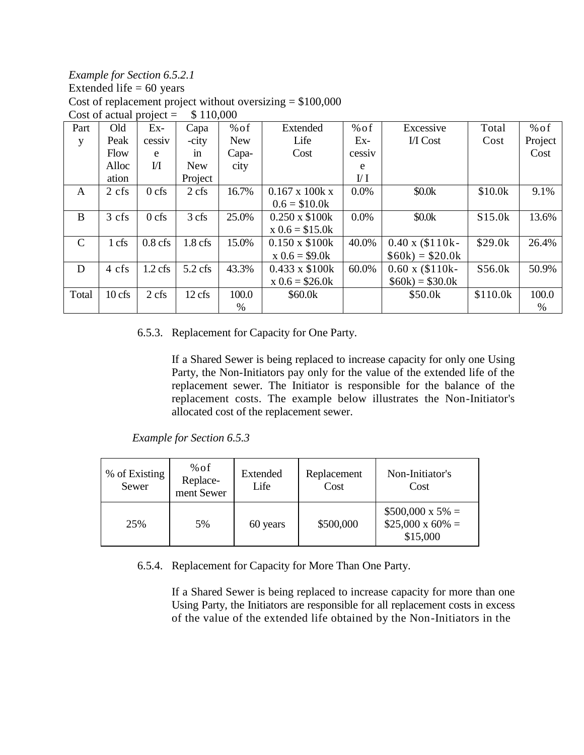*Example for Section 6.5.2.1* Extended life  $= 60$  years Cost of replacement project without oversizing  $=$  \$100,000 Cost of actual project  $=$  \$ 110,000

| Part          | Old             | Ex-       | Capa       | $%$ of     | Extended                   | % of           | Excessive               | Total    | $%$ of  |
|---------------|-----------------|-----------|------------|------------|----------------------------|----------------|-------------------------|----------|---------|
| y             | Peak            | cessiv    | -city      | <b>New</b> | Life                       | Ex-            | I/I Cost                | Cost     | Project |
|               | Flow            | e         | in         | Capa-      | Cost                       | cessiv         |                         |          | Cost    |
|               | Alloc           | $\rm{M}$  | <b>New</b> | city       |                            | e              |                         |          |         |
|               | ation           |           | Project    |            |                            | $\mathbf{U}$ I |                         |          |         |
| A             | $2 \text{ cfs}$ | $0$ cfs   | 2 cfs      | 16.7%      | $0.167 \times 100k \times$ | $0.0\%$        | \$0.0k                  | \$10.0k  | 9.1%    |
|               |                 |           |            |            | $0.6 = $10.0k$             |                |                         |          |         |
| B             | 3 cfs           | $0$ cfs   | 3 cfs      | 25.0%      | $0.250 \times $100k$       | $0.0\%$        | \$0.0k                  | S15.0k   | 13.6%   |
|               |                 |           |            |            | $x \ 0.6 = $15.0k$         |                |                         |          |         |
| $\mathcal{C}$ | 1 cfs           | $0.8$ cfs | $1.8$ cfs  | 15.0%      | $0.150 \times $100k$       | 40.0%          | $0.40 \times (\$110k -$ | \$29.0k  | 26.4%   |
|               |                 |           |            |            | $x 0.6 = $9.0k$            |                | $$60k) = $20.0k$        |          |         |
| D             | 4 cfs           | $1.2$ cfs | $5.2$ cfs  | 43.3%      | $0.433 \times $100k$       | 60.0%          | $0.60 \times (\$110k -$ | S56.0k   | 50.9%   |
|               |                 |           |            |            | $x 0.6 = $26.0k$           |                | $$60k) = $30.0k$        |          |         |
| Total         | 10 cfs          | 2 cfs     | 12 cfs     | 100.0      | \$60.0k                    |                | \$50.0k                 | \$110.0k | 100.0   |
|               |                 |           |            | $\%$       |                            |                |                         |          | %       |

## 6.5.3. Replacement for Capacity for One Party.

If a Shared Sewer is being replaced to increase capacity for only one Using Party, the Non-Initiators pay only for the value of the extended life of the replacement sewer. The Initiator is responsible for the balance of the replacement costs. The example below illustrates the Non-Initiator's allocated cost of the replacement sewer.

*Example for Section 6.5.3*

| % of Existing<br>Sewer | % of<br>Replace-<br>ment Sewer | Extended<br>Life | Replacement<br>Cost | Non-Initiator's<br>Cost                                        |
|------------------------|--------------------------------|------------------|---------------------|----------------------------------------------------------------|
| 25%                    | 5%                             | 60 years         | \$500,000           | $$500,000 \times 5\% =$<br>$$25,000 \times 60\% =$<br>\$15,000 |

6.5.4. Replacement for Capacity for More Than One Party.

If a Shared Sewer is being replaced to increase capacity for more than one Using Party, the Initiators are responsible for all replacement costs in excess of the value of the extended life obtained by the Non-Initiators in the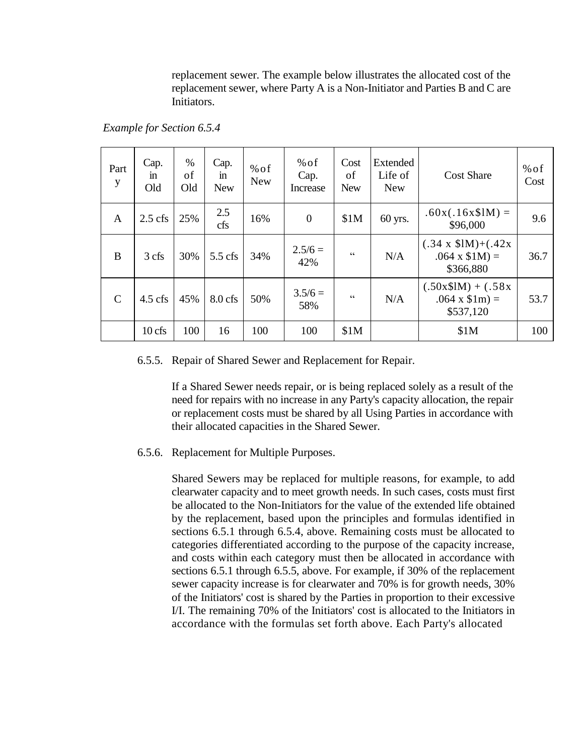replacement sewer. The example below illustrates the allocated cost of the replacement sewer, where Party A is a Non-Initiator and Parties B and C are Initiators.

*Example for Section 6.5.4*

| Part<br>y     | Cap.<br>in<br>Old | $\%$<br>of<br>Old | Cap.<br>$\mathbf{m}$<br><b>New</b> | $%$ of<br><b>New</b> | % of<br>Cap.<br>Increase | Cost<br>of<br><b>New</b>                          | Extended<br>Life of<br><b>New</b> | <b>Cost Share</b>                                            | $%$ of<br>Cost |
|---------------|-------------------|-------------------|------------------------------------|----------------------|--------------------------|---------------------------------------------------|-----------------------------------|--------------------------------------------------------------|----------------|
| A             | $2.5$ cfs         | 25%               | 2.5<br>cfs                         | 16%                  | $\boldsymbol{0}$         | \$1M                                              | 60 yrs.                           | $.60x(.16x$1M) =$<br>\$96,000                                | 9.6            |
| B             | 3 cfs             | 30%               | $5.5$ cfs                          | 34%                  | $2.5/6 =$<br>42%         | C                                                 | N/A                               | $(.34 \times $1M)+(.42x$<br>$.064 \times $1M$ =<br>\$366,880 | 36.7           |
| $\mathcal{C}$ | $4.5 \text{ cfs}$ | 45%               | $8.0$ cfs                          | 50%                  | $3.5/6 =$<br>58%         | $\boldsymbol{\varsigma}$ $\boldsymbol{\varsigma}$ | N/A                               | $(.50x$1M) + (.58x$<br>$.064 \times$ \$1m) =<br>\$537,120    | 53.7           |
|               | 10 cfs            | 100               | 16                                 | 100                  | 100                      | \$1M                                              |                                   | \$1M                                                         | 100            |

#### 6.5.5. Repair of Shared Sewer and Replacement for Repair.

If a Shared Sewer needs repair, or is being replaced solely as a result of the need for repairs with no increase in any Party's capacity allocation, the repair or replacement costs must be shared by all Using Parties in accordance with their allocated capacities in the Shared Sewer.

#### 6.5.6. Replacement for Multiple Purposes.

Shared Sewers may be replaced for multiple reasons, for example, to add clearwater capacity and to meet growth needs. In such cases, costs must first be allocated to the Non-Initiators for the value of the extended life obtained by the replacement, based upon the principles and formulas identified in sections 6.5.1 through 6.5.4, above. Remaining costs must be allocated to categories differentiated according to the purpose of the capacity increase, and costs within each category must then be allocated in accordance with sections 6.5.1 through 6.5.5, above. For example, if 30% of the replacement sewer capacity increase is for clearwater and 70% is for growth needs, 30% of the Initiators' cost is shared by the Parties in proportion to their excessive I/I. The remaining 70% of the Initiators' cost is allocated to the Initiators in accordance with the formulas set forth above. Each Party's allocated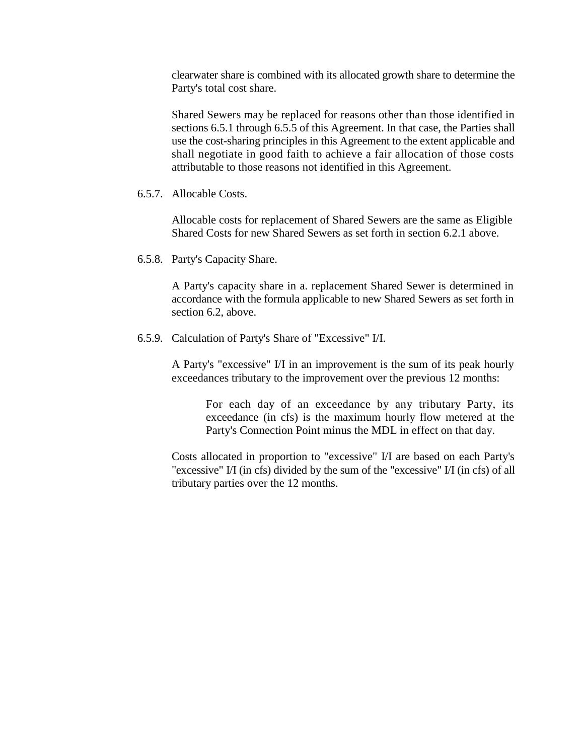clearwater share is combined with its allocated growth share to determine the Party's total cost share.

Shared Sewers may be replaced for reasons other than those identified in sections 6.5.1 through 6.5.5 of this Agreement. In that case, the Parties shall use the cost-sharing principles in this Agreement to the extent applicable and shall negotiate in good faith to achieve a fair allocation of those costs attributable to those reasons not identified in this Agreement.

6.5.7. Allocable Costs.

Allocable costs for replacement of Shared Sewers are the same as Eligible Shared Costs for new Shared Sewers as set forth in section 6.2.1 above.

6.5.8. Party's Capacity Share.

A Party's capacity share in a. replacement Shared Sewer is determined in accordance with the formula applicable to new Shared Sewers as set forth in section 6.2, above.

6.5.9. Calculation of Party's Share of "Excessive" I/I.

A Party's "excessive" I/I in an improvement is the sum of its peak hourly exceedances tributary to the improvement over the previous 12 months:

For each day of an exceedance by any tributary Party, its exceedance (in cfs) is the maximum hourly flow metered at the Party's Connection Point minus the MDL in effect on that day.

Costs allocated in proportion to "excessive" I/I are based on each Party's "excessive" I/I (in cfs) divided by the sum of the "excessive" I/I (in cfs) of all tributary parties over the 12 months.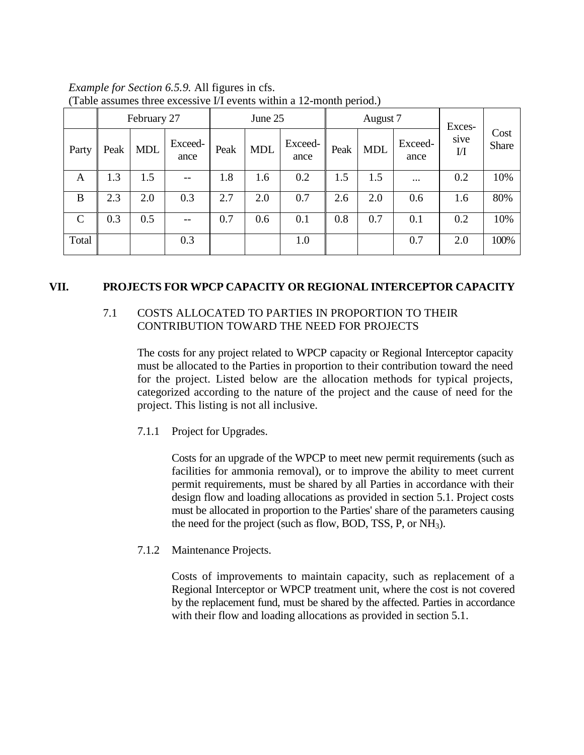|              |      | February 27 |                 | June 25 |            |                 | August 7 |            |                 | Exces-                        |                      |
|--------------|------|-------------|-----------------|---------|------------|-----------------|----------|------------|-----------------|-------------------------------|----------------------|
| Party        | Peak | <b>MDL</b>  | Exceed-<br>ance | Peak    | <b>MDL</b> | Exceed-<br>ance | Peak     | <b>MDL</b> | Exceed-<br>ance | sive<br>$\overline{\text{M}}$ | Cost<br><b>Share</b> |
| A            | 1.3  | 1.5         | $- -$           | 1.8     | 1.6        | 0.2             | 1.5      | 1.5        | $\cdots$        | 0.2                           | 10%                  |
| B            | 2.3  | 2.0         | 0.3             | 2.7     | 2.0        | 0.7             | 2.6      | 2.0        | 0.6             | 1.6                           | 80%                  |
| $\mathsf{C}$ | 0.3  | 0.5         | $- -$           | 0.7     | 0.6        | 0.1             | 0.8      | 0.7        | 0.1             | 0.2                           | 10%                  |
| Total        |      |             | 0.3             |         |            | 1.0             |          |            | 0.7             | 2.0                           | 100%                 |

*Example for Section 6.5.9.* All figures in cfs. (Table assumes three excessive I/I events within a 12-month period.)

## **VII. PROJECTS FOR WPCP CAPACITY OR REGIONAL INTERCEPTOR CAPACITY**

## 7.1 COSTS ALLOCATED TO PARTIES IN PROPORTION TO THEIR CONTRIBUTION TOWARD THE NEED FOR PROJECTS

The costs for any project related to WPCP capacity or Regional Interceptor capacity must be allocated to the Parties in proportion to their contribution toward the need for the project. Listed below are the allocation methods for typical projects, categorized according to the nature of the project and the cause of need for the project. This listing is not all inclusive.

7.1.1 Project for Upgrades.

Costs for an upgrade of the WPCP to meet new permit requirements (such as facilities for ammonia removal), or to improve the ability to meet current permit requirements, must be shared by all Parties in accordance with their design flow and loading allocations as provided in section 5.1. Project costs must be allocated in proportion to the Parties' share of the parameters causing the need for the project (such as flow, BOD, TSS, P, or  $NH<sub>3</sub>$ ).

7.1.2 Maintenance Projects.

Costs of improvements to maintain capacity, such as replacement of a Regional Interceptor or WPCP treatment unit, where the cost is not covered by the replacement fund, must be shared by the affected. Parties in accordance with their flow and loading allocations as provided in section 5.1.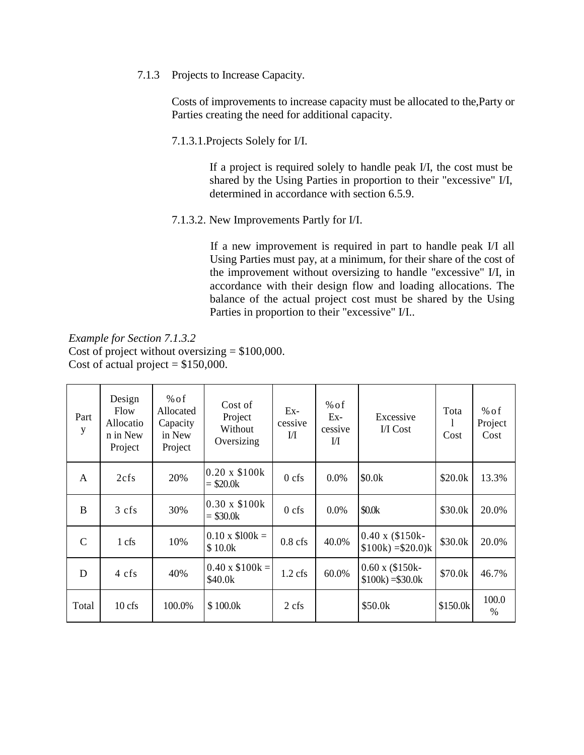7.1.3 Projects to Increase Capacity.

Costs of improvements to increase capacity must be allocated to the,Party or Parties creating the need for additional capacity.

7.1.3.1.Projects Solely for I/I.

If a project is required solely to handle peak I/I, the cost must be shared by the Using Parties in proportion to their "excessive" I/I, determined in accordance with section 6.5.9.

7.1.3.2. New Improvements Partly for I/I.

If a new improvement is required in part to handle peak I/I all Using Parties must pay, at a minimum, for their share of the cost of the improvement without oversizing to handle "excessive" I/I, in accordance with their design flow and loading allocations. The balance of the actual project cost must be shared by the Using Parties in proportion to their "excessive" I/I..

*Example for Section 7.1.3.2* Cost of project without oversizing  $= $100,000$ . Cost of actual project  $= $150,000$ .

| Part<br>y     | Design<br>Flow<br>Allocatio<br>n in New<br>Project | % of<br>Allocated<br>Capacity<br>in New<br>Project | Cost of<br>Project<br>Without<br>Oversizing | $Ex-$<br>cessive<br>IЛ | % of<br>Ex-<br>cessive<br>$\mathbf{U}$ | Excessive<br>I/I Cost                        | Tota<br>Cost | % of<br>Project<br>Cost |
|---------------|----------------------------------------------------|----------------------------------------------------|---------------------------------------------|------------------------|----------------------------------------|----------------------------------------------|--------------|-------------------------|
| A             | 2cfs                                               | 20%                                                | $0.20 \times $100k$<br>$= $20.0k$           | $0$ cfs                | $0.0\%$                                | \$0.0k                                       | \$20.0k      | 13.3%                   |
| B             | 3 cfs                                              | 30%                                                | $0.30 \times $100k$<br>$= $30.0k$           | $0$ cfs                | $0.0\%$                                | \$0.0k                                       | \$30.0k      | 20.0%                   |
| $\mathcal{C}$ | 1 cfs                                              | 10%                                                | $0.10 \times $100k =$<br>\$10.0k            | $0.8$ cfs              | 40.0%                                  | $0.40 \times (\$150k -$<br>$$100k) = $20.0k$ | \$30.0k      | 20.0%                   |
| D             | 4 cfs                                              | 40%                                                | $0.40 \times \$100k =$<br>\$40.0k           | $1.2$ cfs              | 60.0%                                  | $0.60 \times (\$150k -$<br>$$100k) = $30.0k$ | \$70.0k      | 46.7%                   |
| Total         | $10$ cfs                                           | 100.0%                                             | \$100.0k                                    | 2 cfs                  |                                        | \$50.0k                                      | \$150.0k     | 100.0<br>$\frac{0}{0}$  |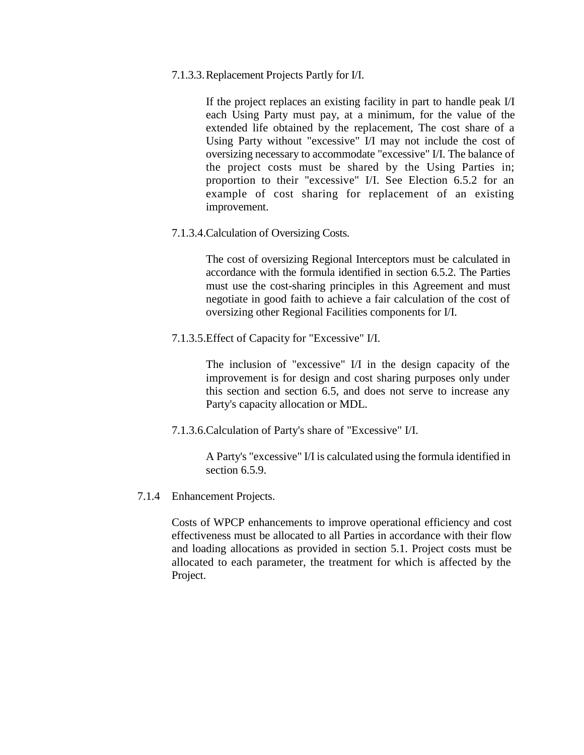7.1.3.3.Replacement Projects Partly for I/I.

If the project replaces an existing facility in part to handle peak I/I each Using Party must pay, at a minimum, for the value of the extended life obtained by the replacement, The cost share of a Using Party without "excessive" I/I may not include the cost of oversizing necessary to accommodate "excessive" I/I. The balance of the project costs must be shared by the Using Parties in; proportion to their "excessive" I/I. See Election 6.5.2 for an example of cost sharing for replacement of an existing improvement.

7.1.3.4.Calculation of Oversizing Costs.

The cost of oversizing Regional Interceptors must be calculated in accordance with the formula identified in section 6.5.2. The Parties must use the cost-sharing principles in this Agreement and must negotiate in good faith to achieve a fair calculation of the cost of oversizing other Regional Facilities components for I/I.

7.1.3.5.Effect of Capacity for "Excessive" I/I.

The inclusion of "excessive" I/I in the design capacity of the improvement is for design and cost sharing purposes only under this section and section 6.5, and does not serve to increase any Party's capacity allocation or MDL.

7.1.3.6.Calculation of Party's share of "Excessive" I/I.

A Party's "excessive" I/I is calculated using the formula identified in section 6.5.9.

7.1.4 Enhancement Projects.

Costs of WPCP enhancements to improve operational efficiency and cost effectiveness must be allocated to all Parties in accordance with their flow and loading allocations as provided in section 5.1. Project costs must be allocated to each parameter, the treatment for which is affected by the Project.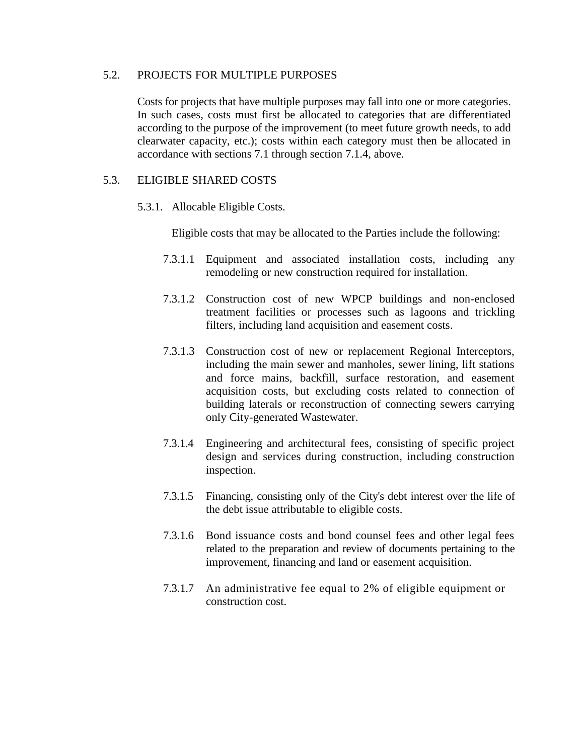## 5.2. PROJECTS FOR MULTIPLE PURPOSES

Costs for projects that have multiple purposes may fall into one or more categories. In such cases, costs must first be allocated to categories that are differentiated according to the purpose of the improvement (to meet future growth needs, to add clearwater capacity, etc.); costs within each category must then be allocated in accordance with sections 7.1 through section 7.1.4, above.

## 5.3. ELIGIBLE SHARED COSTS

5.3.1. Allocable Eligible Costs.

Eligible costs that may be allocated to the Parties include the following:

- 7.3.1.1 Equipment and associated installation costs, including any remodeling or new construction required for installation.
- 7.3.1.2 Construction cost of new WPCP buildings and non-enclosed treatment facilities or processes such as lagoons and trickling filters, including land acquisition and easement costs.
- 7.3.1.3 Construction cost of new or replacement Regional Interceptors, including the main sewer and manholes, sewer lining, lift stations and force mains, backfill, surface restoration, and easement acquisition costs, but excluding costs related to connection of building laterals or reconstruction of connecting sewers carrying only City-generated Wastewater.
- 7.3.1.4 Engineering and architectural fees, consisting of specific project design and services during construction, including construction inspection.
- 7.3.1.5 Financing, consisting only of the City's debt interest over the life of the debt issue attributable to eligible costs.
- 7.3.1.6 Bond issuance costs and bond counsel fees and other legal fees related to the preparation and review of documents pertaining to the improvement, financing and land or easement acquisition.
- 7.3.1.7 An administrative fee equal to 2% of eligible equipment or construction cost.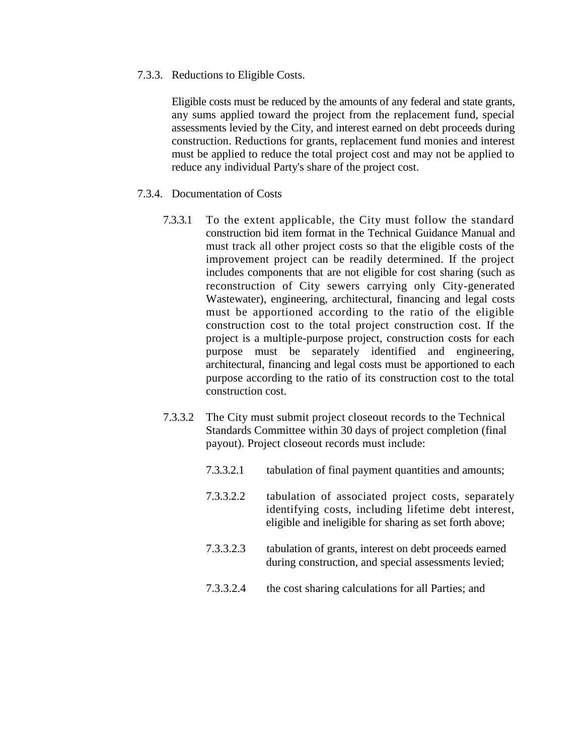7.3.3. Reductions to Eligible Costs.

Eligible costs must be reduced by the amounts of any federal and state grants, any sums applied toward the project from the replacement fund, special assessments levied by the City, and interest earned on debt proceeds during construction. Reductions for grants, replacement fund monies and interest must be applied to reduce the total project cost and may not be applied to reduce any individual Party's share of the project cost.

- 7.3.4. Documentation of Costs
	- 7.3.3.1 To the extent applicable, the City must follow the standard construction bid item format in the Technical Guidance Manual and must track all other project costs so that the eligible costs of the improvement project can be readily determined. If the project includes components that are not eligible for cost sharing (such as reconstruction of City sewers carrying only City-generated Wastewater), engineering, architectural, financing and legal costs must be apportioned according to the ratio of the eligible construction cost to the total project construction cost. If the project is a multiple-purpose project, construction costs for each purpose must be separately identified and engineering, architectural, financing and legal costs must be apportioned to each purpose according to the ratio of its construction cost to the total construction cost.
	- 7.3.3.2 The City must submit project closeout records to the Technical Standards Committee within 30 days of project completion (final payout). Project closeout records must include:
		- 7.3.3.2.1 tabulation of final payment quantities and amounts;
		- 7.3.3.2.2 tabulation of associated project costs, separately identifying costs, including lifetime debt interest, eligible and ineligible for sharing as set forth above;
		- 7.3.3.2.3 tabulation of grants, interest on debt proceeds earned during construction, and special assessments levied;
		- 7.3.3.2.4 the cost sharing calculations for all Parties; and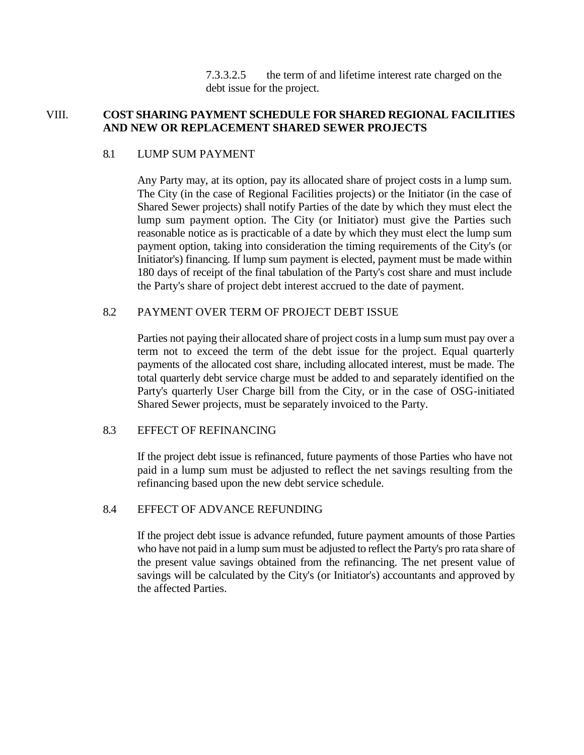7.3.3.2.5 the term of and lifetime interest rate charged on the debt issue for the project.

## VIII. **COST SHARING PAYMENT SCHEDULE FOR SHARED REGIONAL FACILITIES AND NEW OR REPLACEMENT SHARED SEWER PROJECTS**

## 8.1 LUMP SUM PAYMENT

Any Party may, at its option, pay its allocated share of project costs in a lump sum. The City (in the case of Regional Facilities projects) or the Initiator (in the case of Shared Sewer projects) shall notify Parties of the date by which they must elect the lump sum payment option. The City (or Initiator) must give the Parties such reasonable notice as is practicable of a date by which they must elect the lump sum payment option, taking into consideration the timing requirements of the City's (or Initiator's) financing. If lump sum payment is elected, payment must be made within 180 days of receipt of the final tabulation of the Party's cost share and must include the Party's share of project debt interest accrued to the date of payment.

## 8.2 PAYMENT OVER TERM OF PROJECT DEBT ISSUE

Parties not paying their allocated share of project costs in a lump sum must pay over a term not to exceed the term of the debt issue for the project. Equal quarterly payments of the allocated cost share, including allocated interest, must be made. The total quarterly debt service charge must be added to and separately identified on the Party's quarterly User Charge bill from the City, or in the case of OSG-initiated Shared Sewer projects, must be separately invoiced to the Party.

## 8.3 EFFECT OF REFINANCING

If the project debt issue is refinanced, future payments of those Parties who have not paid in a lump sum must be adjusted to reflect the net savings resulting from the refinancing based upon the new debt service schedule.

#### 8.4 EFFECT OF ADVANCE REFUNDING

If the project debt issue is advance refunded, future payment amounts of those Parties who have not paid in a lump sum must be adjusted to reflect the Party's pro rata share of the present value savings obtained from the refinancing. The net present value of savings will be calculated by the City's (or Initiator's) accountants and approved by the affected Parties.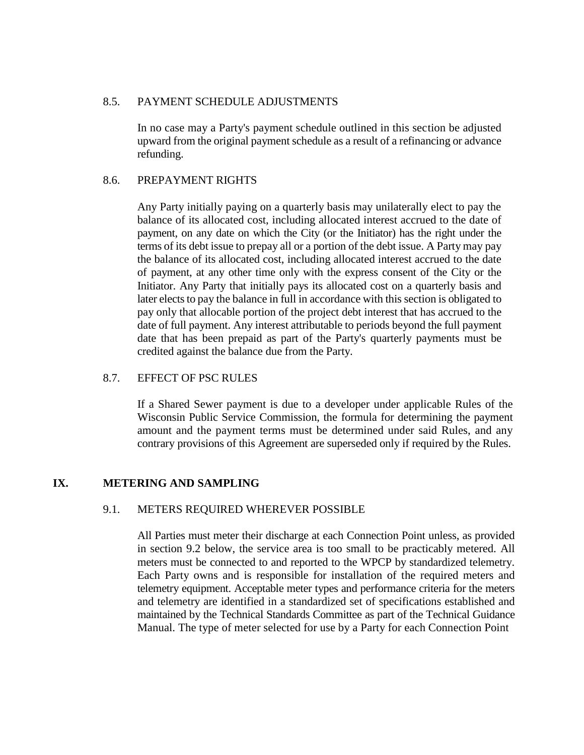## 8.5. PAYMENT SCHEDULE ADJUSTMENTS

In no case may a Party's payment schedule outlined in this section be adjusted upward from the original payment schedule as a result of a refinancing or advance refunding.

## 8.6. PREPAYMENT RIGHTS

Any Party initially paying on a quarterly basis may unilaterally elect to pay the balance of its allocated cost, including allocated interest accrued to the date of payment, on any date on which the City (or the Initiator) has the right under the terms of its debt issue to prepay all or a portion of the debt issue. A Party may pay the balance of its allocated cost, including allocated interest accrued to the date of payment, at any other time only with the express consent of the City or the Initiator. Any Party that initially pays its allocated cost on a quarterly basis and later elects to pay the balance in full in accordance with this section is obligated to pay only that allocable portion of the project debt interest that has accrued to the date of full payment. Any interest attributable to periods beyond the full payment date that has been prepaid as part of the Party's quarterly payments must be credited against the balance due from the Party.

## 8.7. EFFECT OF PSC RULES

If a Shared Sewer payment is due to a developer under applicable Rules of the Wisconsin Public Service Commission, the formula for determining the payment amount and the payment terms must be determined under said Rules, and any contrary provisions of this Agreement are superseded only if required by the Rules.

## **IX. METERING AND SAMPLING**

## 9.1. METERS REQUIRED WHEREVER POSSIBLE

All Parties must meter their discharge at each Connection Point unless, as provided in section 9.2 below, the service area is too small to be practicably metered. All meters must be connected to and reported to the WPCP by standardized telemetry. Each Party owns and is responsible for installation of the required meters and telemetry equipment. Acceptable meter types and performance criteria for the meters and telemetry are identified in a standardized set of specifications established and maintained by the Technical Standards Committee as part of the Technical Guidance Manual. The type of meter selected for use by a Party for each Connection Point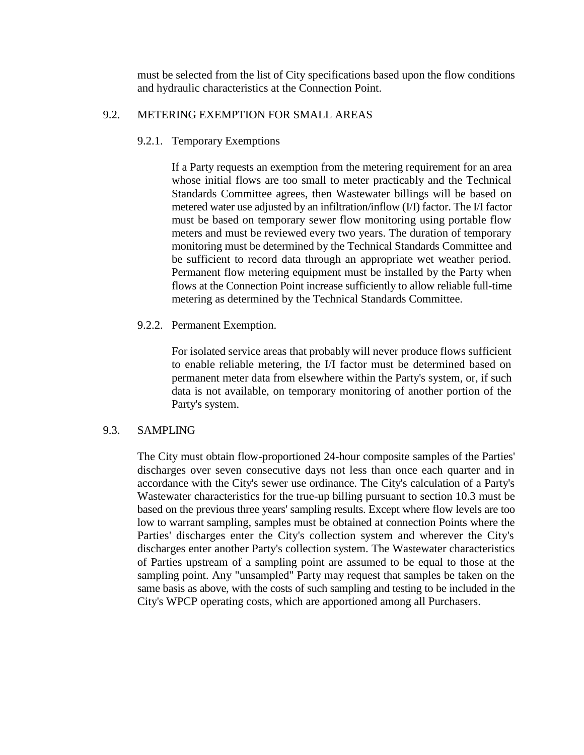must be selected from the list of City specifications based upon the flow conditions and hydraulic characteristics at the Connection Point.

## 9.2. METERING EXEMPTION FOR SMALL AREAS

## 9.2.1. Temporary Exemptions

If a Party requests an exemption from the metering requirement for an area whose initial flows are too small to meter practicably and the Technical Standards Committee agrees, then Wastewater billings will be based on metered water use adjusted by an infiltration/inflow (I/I) factor. The I/I factor must be based on temporary sewer flow monitoring using portable flow meters and must be reviewed every two years. The duration of temporary monitoring must be determined by the Technical Standards Committee and be sufficient to record data through an appropriate wet weather period. Permanent flow metering equipment must be installed by the Party when flows at the Connection Point increase sufficiently to allow reliable full-time metering as determined by the Technical Standards Committee.

## 9.2.2. Permanent Exemption.

For isolated service areas that probably will never produce flows sufficient to enable reliable metering, the I/I factor must be determined based on permanent meter data from elsewhere within the Party's system, or, if such data is not available, on temporary monitoring of another portion of the Party's system.

## 9.3. SAMPLING

The City must obtain flow-proportioned 24-hour composite samples of the Parties' discharges over seven consecutive days not less than once each quarter and in accordance with the City's sewer use ordinance. The City's calculation of a Party's Wastewater characteristics for the true-up billing pursuant to section 10.3 must be based on the previous three years' sampling results. Except where flow levels are too low to warrant sampling, samples must be obtained at connection Points where the Parties' discharges enter the City's collection system and wherever the City's discharges enter another Party's collection system. The Wastewater characteristics of Parties upstream of a sampling point are assumed to be equal to those at the sampling point. Any "unsampled" Party may request that samples be taken on the same basis as above, with the costs of such sampling and testing to be included in the City's WPCP operating costs, which are apportioned among all Purchasers.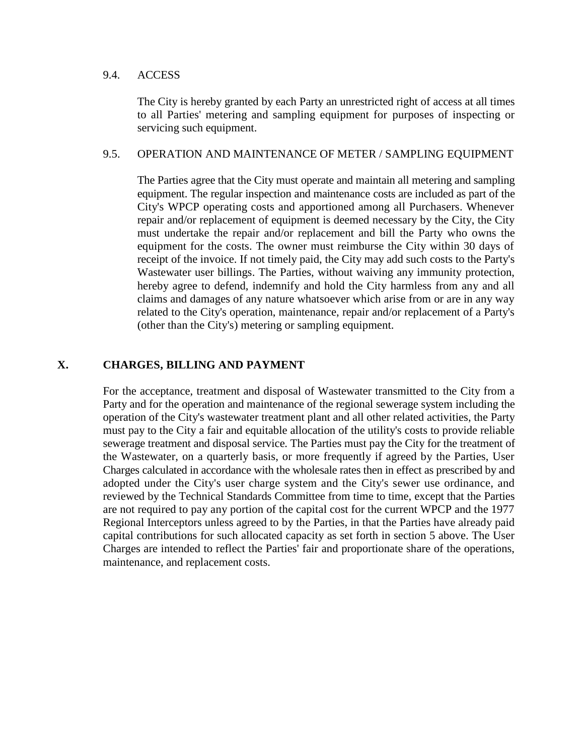#### 9.4. ACCESS

The City is hereby granted by each Party an unrestricted right of access at all times to all Parties' metering and sampling equipment for purposes of inspecting or servicing such equipment.

## 9.5. OPERATION AND MAINTENANCE OF METER / SAMPLING EQUIPMENT

The Parties agree that the City must operate and maintain all metering and sampling equipment. The regular inspection and maintenance costs are included as part of the City's WPCP operating costs and apportioned among all Purchasers. Whenever repair and/or replacement of equipment is deemed necessary by the City, the City must undertake the repair and/or replacement and bill the Party who owns the equipment for the costs. The owner must reimburse the City within 30 days of receipt of the invoice. If not timely paid, the City may add such costs to the Party's Wastewater user billings. The Parties, without waiving any immunity protection, hereby agree to defend, indemnify and hold the City harmless from any and all claims and damages of any nature whatsoever which arise from or are in any way related to the City's operation, maintenance, repair and/or replacement of a Party's (other than the City's) metering or sampling equipment.

## **X. CHARGES, BILLING AND PAYMENT**

For the acceptance, treatment and disposal of Wastewater transmitted to the City from a Party and for the operation and maintenance of the regional sewerage system including the operation of the City's wastewater treatment plant and all other related activities, the Party must pay to the City a fair and equitable allocation of the utility's costs to provide reliable sewerage treatment and disposal service. The Parties must pay the City for the treatment of the Wastewater, on a quarterly basis, or more frequently if agreed by the Parties, User Charges calculated in accordance with the wholesale rates then in effect as prescribed by and adopted under the City's user charge system and the City's sewer use ordinance, and reviewed by the Technical Standards Committee from time to time, except that the Parties are not required to pay any portion of the capital cost for the current WPCP and the 1977 Regional Interceptors unless agreed to by the Parties, in that the Parties have already paid capital contributions for such allocated capacity as set forth in section 5 above. The User Charges are intended to reflect the Parties' fair and proportionate share of the operations, maintenance, and replacement costs.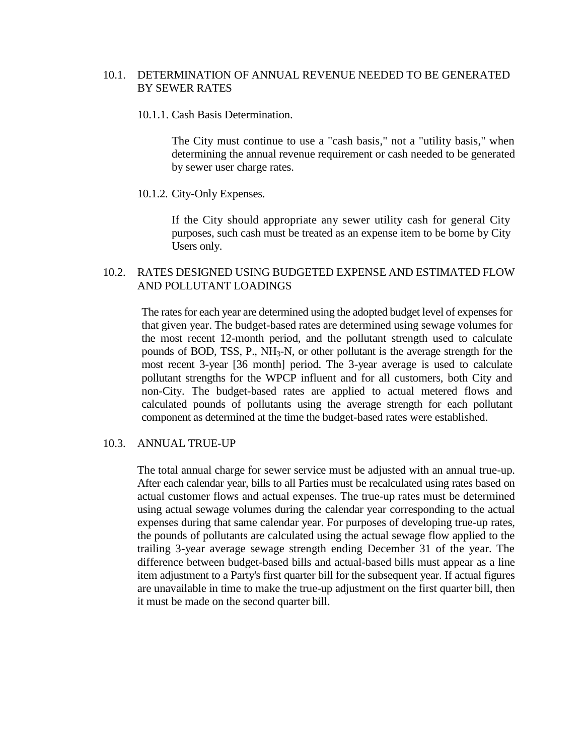## 10.1. DETERMINATION OF ANNUAL REVENUE NEEDED TO BE GENERATED BY SEWER RATES

#### 10.1.1. Cash Basis Determination.

The City must continue to use a "cash basis," not a "utility basis," when determining the annual revenue requirement or cash needed to be generated by sewer user charge rates.

#### 10.1.2. City-Only Expenses.

If the City should appropriate any sewer utility cash for general City purposes, such cash must be treated as an expense item to be borne by City Users only.

## 10.2. RATES DESIGNED USING BUDGETED EXPENSE AND ESTIMATED FLOW AND POLLUTANT LOADINGS

The rates for each year are determined using the adopted budget level of expenses for that given year. The budget-based rates are determined using sewage volumes for the most recent 12-month period, and the pollutant strength used to calculate pounds of BOD, TSS, P.,  $NH_3-N$ , or other pollutant is the average strength for the most recent 3-year [36 month] period. The 3-year average is used to calculate pollutant strengths for the WPCP influent and for all customers, both City and non-City. The budget-based rates are applied to actual metered flows and calculated pounds of pollutants using the average strength for each pollutant component as determined at the time the budget-based rates were established.

#### 10.3. ANNUAL TRUE-UP

The total annual charge for sewer service must be adjusted with an annual true-up. After each calendar year, bills to all Parties must be recalculated using rates based on actual customer flows and actual expenses. The true-up rates must be determined using actual sewage volumes during the calendar year corresponding to the actual expenses during that same calendar year. For purposes of developing true-up rates, the pounds of pollutants are calculated using the actual sewage flow applied to the trailing 3-year average sewage strength ending December 31 of the year. The difference between budget-based bills and actual-based bills must appear as a line item adjustment to a Party's first quarter bill for the subsequent year. If actual figures are unavailable in time to make the true-up adjustment on the first quarter bill, then it must be made on the second quarter bill.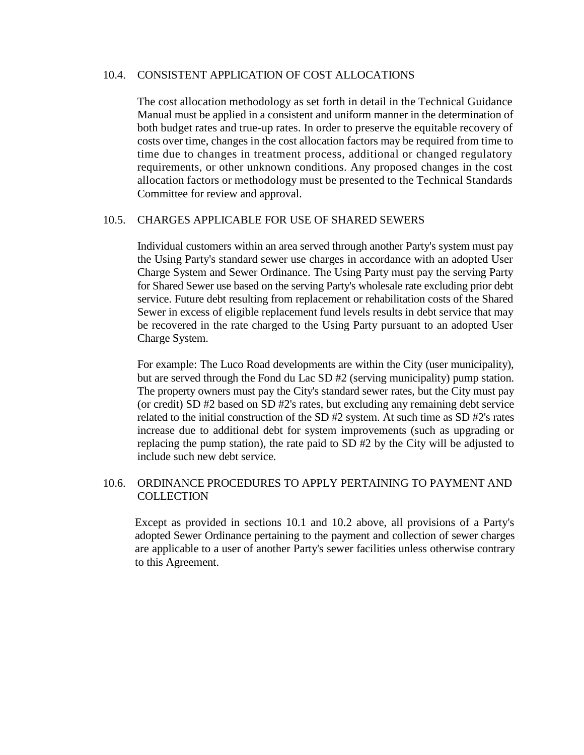## 10.4. CONSISTENT APPLICATION OF COST ALLOCATIONS

The cost allocation methodology as set forth in detail in the Technical Guidance Manual must be applied in a consistent and uniform manner in the determination of both budget rates and true-up rates. In order to preserve the equitable recovery of costs over time, changes in the cost allocation factors may be required from time to time due to changes in treatment process, additional or changed regulatory requirements, or other unknown conditions. Any proposed changes in the cost allocation factors or methodology must be presented to the Technical Standards Committee for review and approval.

## 10.5. CHARGES APPLICABLE FOR USE OF SHARED SEWERS

Individual customers within an area served through another Party's system must pay the Using Party's standard sewer use charges in accordance with an adopted User Charge System and Sewer Ordinance. The Using Party must pay the serving Party for Shared Sewer use based on the serving Party's wholesale rate excluding prior debt service. Future debt resulting from replacement or rehabilitation costs of the Shared Sewer in excess of eligible replacement fund levels results in debt service that may be recovered in the rate charged to the Using Party pursuant to an adopted User Charge System.

For example: The Luco Road developments are within the City (user municipality), but are served through the Fond du Lac SD #2 (serving municipality) pump station. The property owners must pay the City's standard sewer rates, but the City must pay (or credit) SD #2 based on SD #2's rates, but excluding any remaining debt service related to the initial construction of the SD #2 system. At such time as SD #2's rates increase due to additional debt for system improvements (such as upgrading or replacing the pump station), the rate paid to SD #2 by the City will be adjusted to include such new debt service.

## 10.6. ORDINANCE PROCEDURES TO APPLY PERTAINING TO PAYMENT AND **COLLECTION**

Except as provided in sections 10.1 and 10.2 above, all provisions of a Party's adopted Sewer Ordinance pertaining to the payment and collection of sewer charges are applicable to a user of another Party's sewer facilities unless otherwise contrary to this Agreement.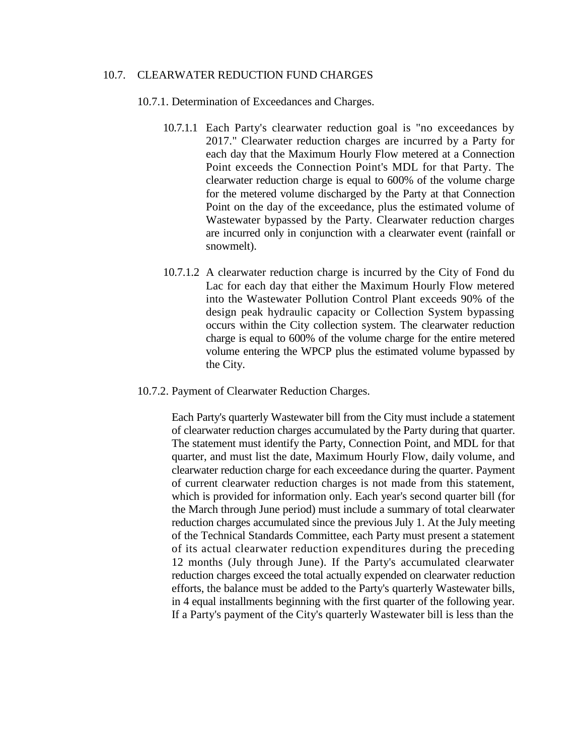#### 10.7. CLEARWATER REDUCTION FUND CHARGES

10.7.1. Determination of Exceedances and Charges.

- 10.7.1.1 Each Party's clearwater reduction goal is "no exceedances by 2017." Clearwater reduction charges are incurred by a Party for each day that the Maximum Hourly Flow metered at a Connection Point exceeds the Connection Point's MDL for that Party. The clearwater reduction charge is equal to 600% of the volume charge for the metered volume discharged by the Party at that Connection Point on the day of the exceedance, plus the estimated volume of Wastewater bypassed by the Party. Clearwater reduction charges are incurred only in conjunction with a clearwater event (rainfall or snowmelt).
- 10.7.1.2 A clearwater reduction charge is incurred by the City of Fond du Lac for each day that either the Maximum Hourly Flow metered into the Wastewater Pollution Control Plant exceeds 90% of the design peak hydraulic capacity or Collection System bypassing occurs within the City collection system. The clearwater reduction charge is equal to 600% of the volume charge for the entire metered volume entering the WPCP plus the estimated volume bypassed by the City.
- 10.7.2. Payment of Clearwater Reduction Charges.

Each Party's quarterly Wastewater bill from the City must include a statement of clearwater reduction charges accumulated by the Party during that quarter. The statement must identify the Party, Connection Point, and MDL for that quarter, and must list the date, Maximum Hourly Flow, daily volume, and clearwater reduction charge for each exceedance during the quarter. Payment of current clearwater reduction charges is not made from this statement, which is provided for information only. Each year's second quarter bill (for the March through June period) must include a summary of total clearwater reduction charges accumulated since the previous July 1. At the July meeting of the Technical Standards Committee, each Party must present a statement of its actual clearwater reduction expenditures during the preceding 12 months (July through June). If the Party's accumulated clearwater reduction charges exceed the total actually expended on clearwater reduction efforts, the balance must be added to the Party's quarterly Wastewater bills, in 4 equal installments beginning with the first quarter of the following year. If a Party's payment of the City's quarterly Wastewater bill is less than the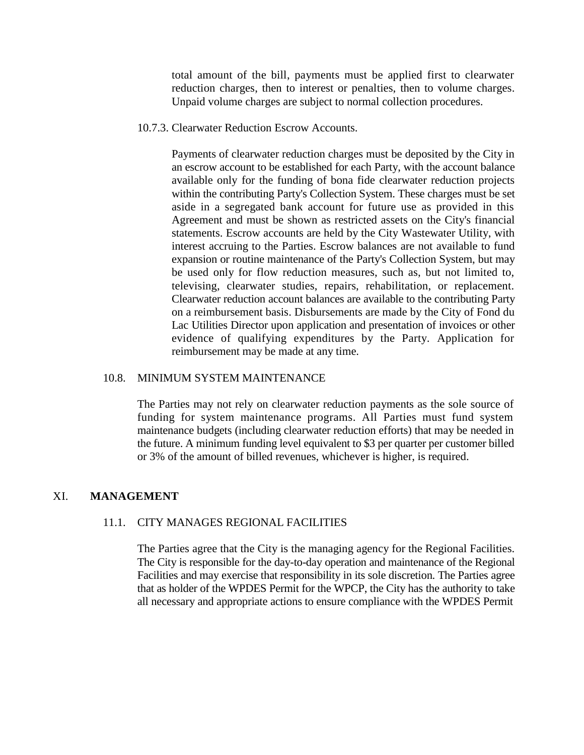total amount of the bill, payments must be applied first to clearwater reduction charges, then to interest or penalties, then to volume charges. Unpaid volume charges are subject to normal collection procedures.

10.7.3. Clearwater Reduction Escrow Accounts.

Payments of clearwater reduction charges must be deposited by the City in an escrow account to be established for each Party, with the account balance available only for the funding of bona fide clearwater reduction projects within the contributing Party's Collection System. These charges must be set aside in a segregated bank account for future use as provided in this Agreement and must be shown as restricted assets on the City's financial statements. Escrow accounts are held by the City Wastewater Utility, with interest accruing to the Parties. Escrow balances are not available to fund expansion or routine maintenance of the Party's Collection System, but may be used only for flow reduction measures, such as, but not limited to, televising, clearwater studies, repairs, rehabilitation, or replacement. Clearwater reduction account balances are available to the contributing Party on a reimbursement basis. Disbursements are made by the City of Fond du Lac Utilities Director upon application and presentation of invoices or other evidence of qualifying expenditures by the Party. Application for reimbursement may be made at any time.

#### 10.8. MINIMUM SYSTEM MAINTENANCE

The Parties may not rely on clearwater reduction payments as the sole source of funding for system maintenance programs. All Parties must fund system maintenance budgets (including clearwater reduction efforts) that may be needed in the future. A minimum funding level equivalent to \$3 per quarter per customer billed or 3% of the amount of billed revenues, whichever is higher, is required.

#### XI. **MANAGEMENT**

#### 11.1. CITY MANAGES REGIONAL FACILITIES

The Parties agree that the City is the managing agency for the Regional Facilities. The City is responsible for the day-to-day operation and maintenance of the Regional Facilities and may exercise that responsibility in its sole discretion. The Parties agree that as holder of the WPDES Permit for the WPCP, the City has the authority to take all necessary and appropriate actions to ensure compliance with the WPDES Permit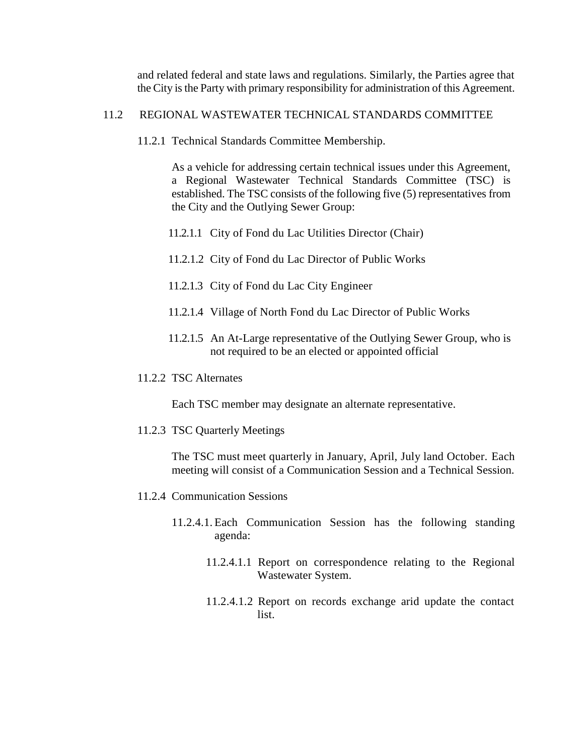and related federal and state laws and regulations. Similarly, the Parties agree that the City is the Party with primary responsibility for administration of this Agreement.

## 11.2 REGIONAL WASTEWATER TECHNICAL STANDARDS COMMITTEE

11.2.1 Technical Standards Committee Membership.

As a vehicle for addressing certain technical issues under this Agreement, a Regional Wastewater Technical Standards Committee (TSC) is established. The TSC consists of the following five (5) representatives from the City and the Outlying Sewer Group:

- 11.2.1.1 City of Fond du Lac Utilities Director (Chair)
- 11.2.1.2 City of Fond du Lac Director of Public Works
- 11.2.1.3 City of Fond du Lac City Engineer
- 11.2.1.4 Village of North Fond du Lac Director of Public Works
- 11.2.1.5 An At-Large representative of the Outlying Sewer Group, who is not required to be an elected or appointed official
- 11.2.2 TSC Alternates

Each TSC member may designate an alternate representative.

11.2.3 TSC Quarterly Meetings

The TSC must meet quarterly in January, April, July land October. Each meeting will consist of a Communication Session and a Technical Session.

- 11.2.4 Communication Sessions
	- 11.2.4.1. Each Communication Session has the following standing agenda:
		- 11.2.4.1.1 Report on correspondence relating to the Regional Wastewater System.
		- 11.2.4.1.2 Report on records exchange arid update the contact list.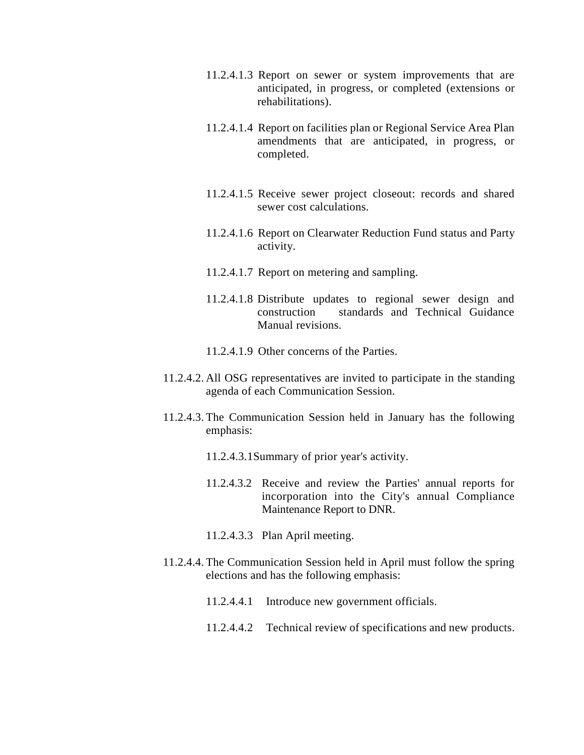- 11.2.4.1.3 Report on sewer or system improvements that are anticipated, in progress, or completed (extensions or rehabilitations).
- 11.2.4.1.4 Report on facilities plan or Regional Service Area Plan amendments that are anticipated, in progress, or completed.
- 11.2.4.1.5 Receive sewer project closeout: records and shared sewer cost calculations.
- 11.2.4.1.6 Report on Clearwater Reduction Fund status and Party activity.
- 11.2.4.1.7 Report on metering and sampling.
- 11.2.4.1.8 Distribute updates to regional sewer design and construction standards and Technical Guidance Manual revisions.
- 11.2.4.1.9 Other concerns of the Parties.
- 11.2.4.2. All OSG representatives are invited to participate in the standing agenda of each Communication Session.
- 11.2.4.3. The Communication Session held in January has the following emphasis:
	- 11.2.4.3.1Summary of prior year's activity.
	- 11.2.4.3.2 Receive and review the Parties' annual reports for incorporation into the City's annual Compliance Maintenance Report to DNR.
	- 11.2.4.3.3 Plan April meeting.
- 11.2.4.4. The Communication Session held in April must follow the spring elections and has the following emphasis:
	- 11.2.4.4.1 Introduce new government officials.
	- 11.2.4.4.2 Technical review of specifications and new products.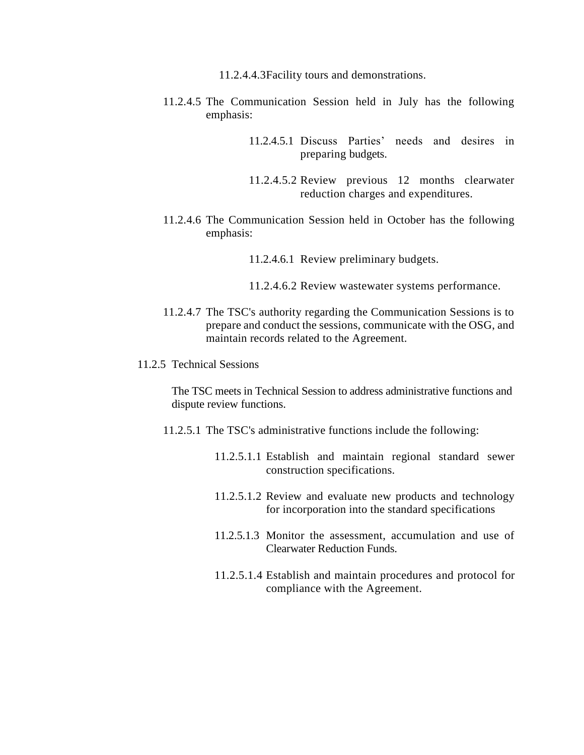- 11.2.4.4.3Facility tours and demonstrations.
- 11.2.4.5 The Communication Session held in July has the following emphasis:
	- 11.2.4.5.1 Discuss Parties' needs and desires in preparing budgets.
	- 11.2.4.5.2 Review previous 12 months clearwater reduction charges and expenditures.
- 11.2.4.6 The Communication Session held in October has the following emphasis:
	- 11.2.4.6.1 Review preliminary budgets.
	- 11.2.4.6.2 Review wastewater systems performance.
- 11.2.4.7 The TSC's authority regarding the Communication Sessions is to prepare and conduct the sessions, communicate with the OSG, and maintain records related to the Agreement.
- 11.2.5 Technical Sessions

The TSC meets in Technical Session to address administrative functions and dispute review functions.

- 11.2.5.1 The TSC's administrative functions include the following:
	- 11.2.5.1.1 Establish and maintain regional standard sewer construction specifications.
	- 11.2.5.1.2 Review and evaluate new products and technology for incorporation into the standard specifications
	- 11.2.5.1.3 Monitor the assessment, accumulation and use of Clearwater Reduction Funds.
	- 11.2.5.1.4 Establish and maintain procedures and protocol for compliance with the Agreement.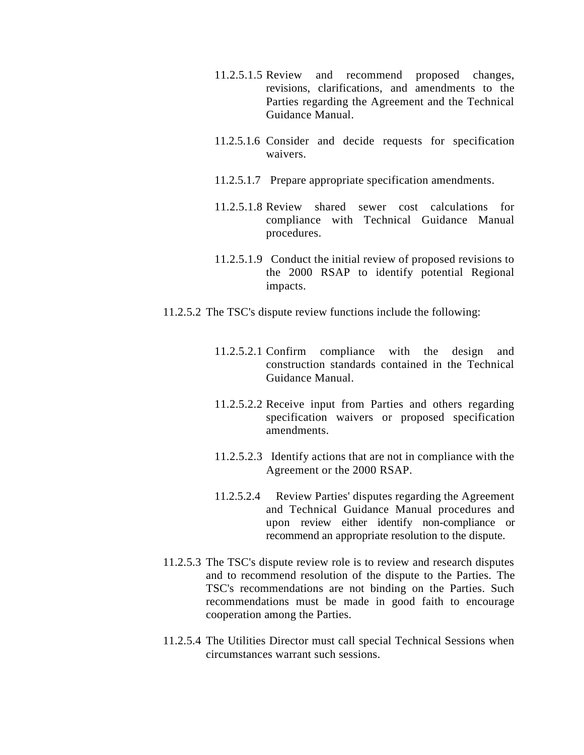- 11.2.5.1.5 Review and recommend proposed changes, revisions, clarifications, and amendments to the Parties regarding the Agreement and the Technical Guidance Manual.
- 11.2.5.1.6 Consider and decide requests for specification waivers.
- 11.2.5.1.7 Prepare appropriate specification amendments.
- 11.2.5.1.8 Review shared sewer cost calculations for compliance with Technical Guidance Manual procedures.
- 11.2.5.1.9 Conduct the initial review of proposed revisions to the 2000 RSAP to identify potential Regional impacts.
- 11.2.5.2 The TSC's dispute review functions include the following:
	- 11.2.5.2.1 Confirm compliance with the design and construction standards contained in the Technical Guidance Manual.
	- 11.2.5.2.2 Receive input from Parties and others regarding specification waivers or proposed specification amendments.
	- 11.2.5.2.3 Identify actions that are not in compliance with the Agreement or the 2000 RSAP.
	- 11.2.5.2.4 Review Parties' disputes regarding the Agreement and Technical Guidance Manual procedures and upon review either identify non-compliance or recommend an appropriate resolution to the dispute.
- 11.2.5.3 The TSC's dispute review role is to review and research disputes and to recommend resolution of the dispute to the Parties. The TSC's recommendations are not binding on the Parties. Such recommendations must be made in good faith to encourage cooperation among the Parties.
- 11.2.5.4 The Utilities Director must call special Technical Sessions when circumstances warrant such sessions.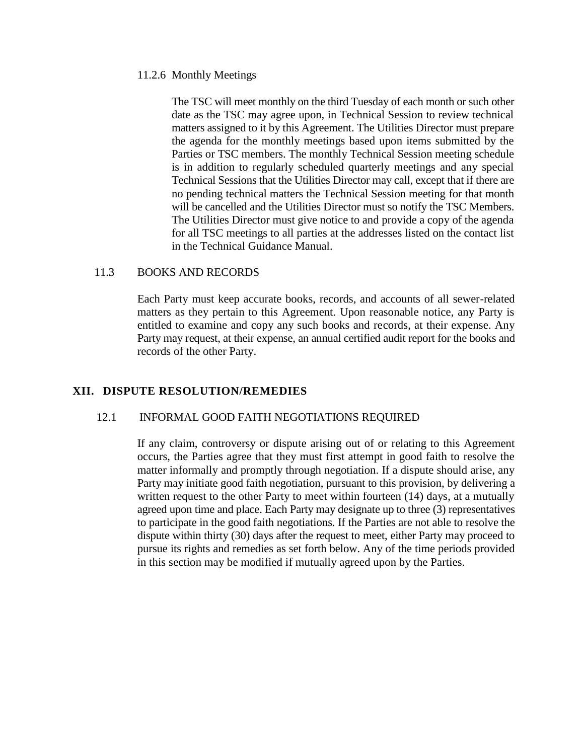#### 11.2.6 Monthly Meetings

The TSC will meet monthly on the third Tuesday of each month or such other date as the TSC may agree upon, in Technical Session to review technical matters assigned to it by this Agreement. The Utilities Director must prepare the agenda for the monthly meetings based upon items submitted by the Parties or TSC members. The monthly Technical Session meeting schedule is in addition to regularly scheduled quarterly meetings and any special Technical Sessions that the Utilities Director may call, except that if there are no pending technical matters the Technical Session meeting for that month will be cancelled and the Utilities Director must so notify the TSC Members. The Utilities Director must give notice to and provide a copy of the agenda for all TSC meetings to all parties at the addresses listed on the contact list in the Technical Guidance Manual.

#### 11.3 BOOKS AND RECORDS

Each Party must keep accurate books, records, and accounts of all sewer-related matters as they pertain to this Agreement. Upon reasonable notice, any Party is entitled to examine and copy any such books and records, at their expense. Any Party may request, at their expense, an annual certified audit report for the books and records of the other Party.

#### **XII. DISPUTE RESOLUTION/REMEDIES**

## 12.1 INFORMAL GOOD FAITH NEGOTIATIONS REQUIRED

If any claim, controversy or dispute arising out of or relating to this Agreement occurs, the Parties agree that they must first attempt in good faith to resolve the matter informally and promptly through negotiation. If a dispute should arise, any Party may initiate good faith negotiation, pursuant to this provision, by delivering a written request to the other Party to meet within fourteen (14) days, at a mutually agreed upon time and place. Each Party may designate up to three (3) representatives to participate in the good faith negotiations. If the Parties are not able to resolve the dispute within thirty (30) days after the request to meet, either Party may proceed to pursue its rights and remedies as set forth below. Any of the time periods provided in this section may be modified if mutually agreed upon by the Parties.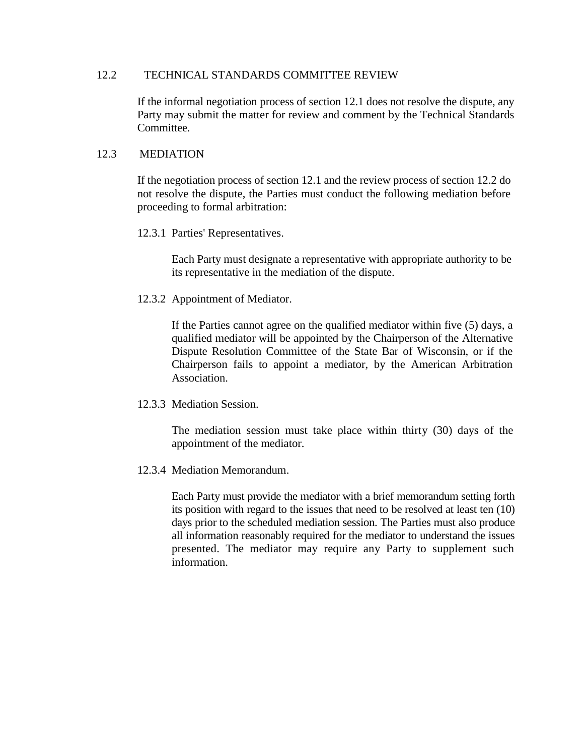#### 12.2 TECHNICAL STANDARDS COMMITTEE REVIEW

If the informal negotiation process of section 12.1 does not resolve the dispute, any Party may submit the matter for review and comment by the Technical Standards Committee.

## 12.3 MEDIATION

If the negotiation process of section 12.1 and the review process of section 12.2 do not resolve the dispute, the Parties must conduct the following mediation before proceeding to formal arbitration:

12.3.1 Parties' Representatives.

Each Party must designate a representative with appropriate authority to be its representative in the mediation of the dispute.

12.3.2 Appointment of Mediator.

If the Parties cannot agree on the qualified mediator within five (5) days, a qualified mediator will be appointed by the Chairperson of the Alternative Dispute Resolution Committee of the State Bar of Wisconsin, or if the Chairperson fails to appoint a mediator, by the American Arbitration Association.

12.3.3 Mediation Session.

The mediation session must take place within thirty (30) days of the appointment of the mediator.

12.3.4 Mediation Memorandum.

Each Party must provide the mediator with a brief memorandum setting forth its position with regard to the issues that need to be resolved at least ten (10) days prior to the scheduled mediation session. The Parties must also produce all information reasonably required for the mediator to understand the issues presented. The mediator may require any Party to supplement such information.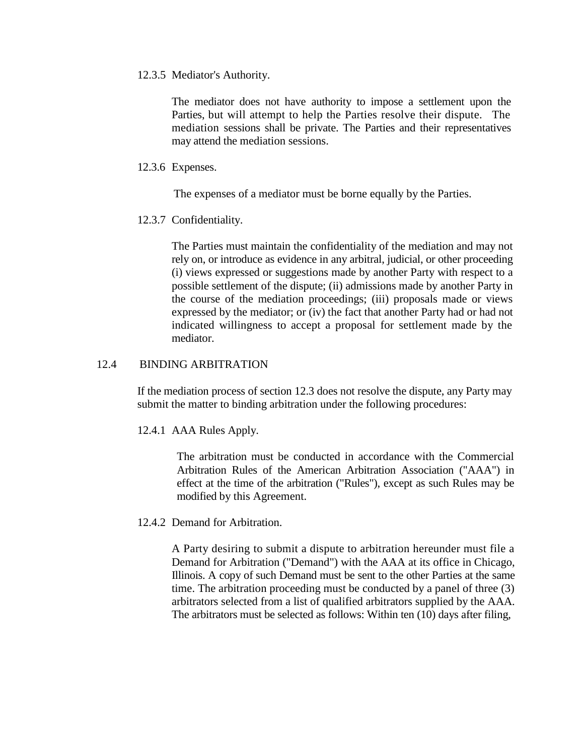12.3.5 Mediator's Authority.

The mediator does not have authority to impose a settlement upon the Parties, but will attempt to help the Parties resolve their dispute. The mediation sessions shall be private. The Parties and their representatives may attend the mediation sessions.

12.3.6 Expenses.

The expenses of a mediator must be borne equally by the Parties.

12.3.7 Confidentiality.

The Parties must maintain the confidentiality of the mediation and may not rely on, or introduce as evidence in any arbitral, judicial, or other proceeding (i) views expressed or suggestions made by another Party with respect to a possible settlement of the dispute; (ii) admissions made by another Party in the course of the mediation proceedings; (iii) proposals made or views expressed by the mediator; or (iv) the fact that another Party had or had not indicated willingness to accept a proposal for settlement made by the mediator.

## 12.4 BINDING ARBITRATION

If the mediation process of section 12.3 does not resolve the dispute, any Party may submit the matter to binding arbitration under the following procedures:

12.4.1 AAA Rules Apply.

The arbitration must be conducted in accordance with the Commercial Arbitration Rules of the American Arbitration Association ("AAA") in effect at the time of the arbitration ("Rules"), except as such Rules may be modified by this Agreement.

12.4.2 Demand for Arbitration.

A Party desiring to submit a dispute to arbitration hereunder must file a Demand for Arbitration ("Demand") with the AAA at its office in Chicago, Illinois. A copy of such Demand must be sent to the other Parties at the same time. The arbitration proceeding must be conducted by a panel of three (3) arbitrators selected from a list of qualified arbitrators supplied by the AAA. The arbitrators must be selected as follows: Within ten (10) days after filing,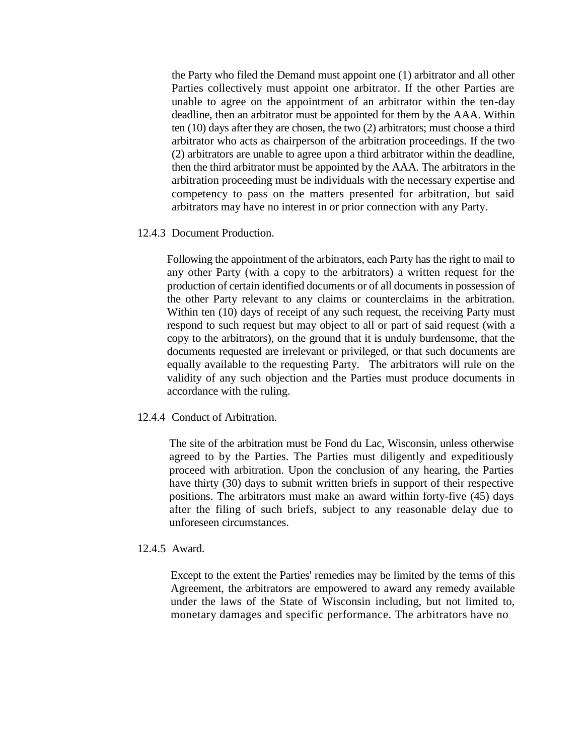the Party who filed the Demand must appoint one (1) arbitrator and all other Parties collectively must appoint one arbitrator. If the other Parties are unable to agree on the appointment of an arbitrator within the ten-day deadline, then an arbitrator must be appointed for them by the AAA. Within ten (10) days after they are chosen, the two (2) arbitrators; must choose a third arbitrator who acts as chairperson of the arbitration proceedings. If the two (2) arbitrators are unable to agree upon a third arbitrator within the deadline, then the third arbitrator must be appointed by the AAA. The arbitrators in the arbitration proceeding must be individuals with the necessary expertise and competency to pass on the matters presented for arbitration, but said arbitrators may have no interest in or prior connection with any Party.

#### 12.4.3 Document Production.

Following the appointment of the arbitrators, each Party has the right to mail to any other Party (with a copy to the arbitrators) a written request for the production of certain identified documents or of all documents in possession of the other Party relevant to any claims or counterclaims in the arbitration. Within ten (10) days of receipt of any such request, the receiving Party must respond to such request but may object to all or part of said request (with a copy to the arbitrators), on the ground that it is unduly burdensome, that the documents requested are irrelevant or privileged, or that such documents are equally available to the requesting Party. The arbitrators will rule on the validity of any such objection and the Parties must produce documents in accordance with the ruling.

#### 12.4.4 Conduct of Arbitration.

The site of the arbitration must be Fond du Lac, Wisconsin, unless otherwise agreed to by the Parties. The Parties must diligently and expeditiously proceed with arbitration. Upon the conclusion of any hearing, the Parties have thirty (30) days to submit written briefs in support of their respective positions. The arbitrators must make an award within forty-five (45) days after the filing of such briefs, subject to any reasonable delay due to unforeseen circumstances.

#### 12.4.5 Award.

Except to the extent the Parties' remedies may be limited by the terms of this Agreement, the arbitrators are empowered to award any remedy available under the laws of the State of Wisconsin including, but not limited to, monetary damages and specific performance. The arbitrators have no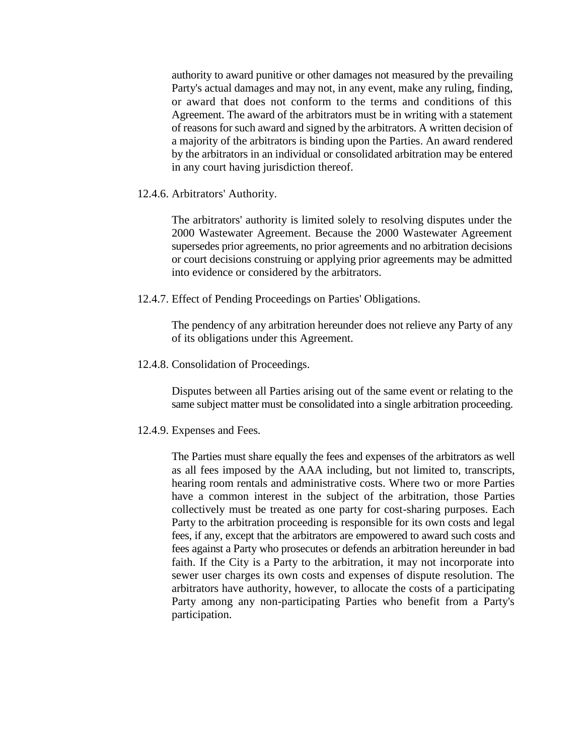authority to award punitive or other damages not measured by the prevailing Party's actual damages and may not, in any event, make any ruling, finding, or award that does not conform to the terms and conditions of this Agreement. The award of the arbitrators must be in writing with a statement of reasons for such award and signed by the arbitrators. A written decision of a majority of the arbitrators is binding upon the Parties. An award rendered by the arbitrators in an individual or consolidated arbitration may be entered in any court having jurisdiction thereof.

12.4.6. Arbitrators' Authority.

The arbitrators' authority is limited solely to resolving disputes under the 2000 Wastewater Agreement. Because the 2000 Wastewater Agreement supersedes prior agreements, no prior agreements and no arbitration decisions or court decisions construing or applying prior agreements may be admitted into evidence or considered by the arbitrators.

12.4.7. Effect of Pending Proceedings on Parties' Obligations.

The pendency of any arbitration hereunder does not relieve any Party of any of its obligations under this Agreement.

12.4.8. Consolidation of Proceedings.

Disputes between all Parties arising out of the same event or relating to the same subject matter must be consolidated into a single arbitration proceeding.

12.4.9. Expenses and Fees.

The Parties must share equally the fees and expenses of the arbitrators as well as all fees imposed by the AAA including, but not limited to, transcripts, hearing room rentals and administrative costs. Where two or more Parties have a common interest in the subject of the arbitration, those Parties collectively must be treated as one party for cost-sharing purposes. Each Party to the arbitration proceeding is responsible for its own costs and legal fees, if any, except that the arbitrators are empowered to award such costs and fees against a Party who prosecutes or defends an arbitration hereunder in bad faith. If the City is a Party to the arbitration, it may not incorporate into sewer user charges its own costs and expenses of dispute resolution. The arbitrators have authority, however, to allocate the costs of a participating Party among any non-participating Parties who benefit from a Party's participation.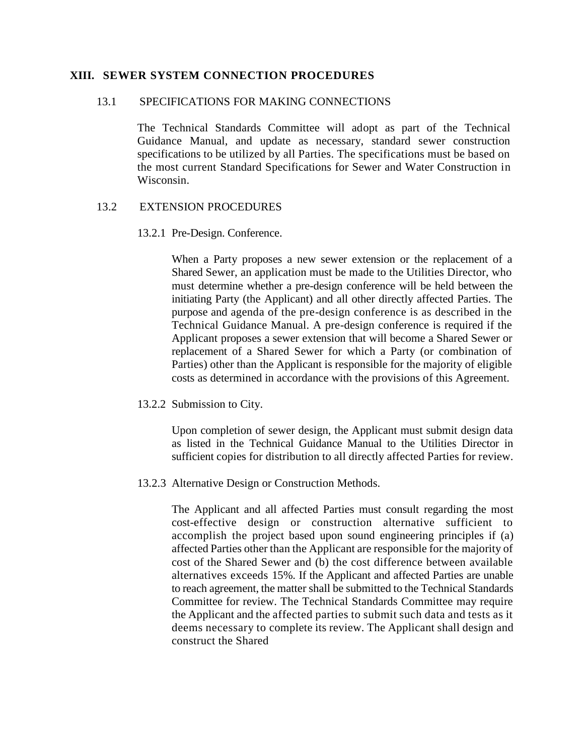#### **XIII. SEWER SYSTEM CONNECTION PROCEDURES**

#### 13.1 SPECIFICATIONS FOR MAKING CONNECTIONS

The Technical Standards Committee will adopt as part of the Technical Guidance Manual, and update as necessary, standard sewer construction specifications to be utilized by all Parties. The specifications must be based on the most current Standard Specifications for Sewer and Water Construction in Wisconsin.

## 13.2 EXTENSION PROCEDURES

## 13.2.1 Pre-Design. Conference.

When a Party proposes a new sewer extension or the replacement of a Shared Sewer, an application must be made to the Utilities Director, who must determine whether a pre-design conference will be held between the initiating Party (the Applicant) and all other directly affected Parties. The purpose and agenda of the pre-design conference is as described in the Technical Guidance Manual. A pre-design conference is required if the Applicant proposes a sewer extension that will become a Shared Sewer or replacement of a Shared Sewer for which a Party (or combination of Parties) other than the Applicant is responsible for the majority of eligible costs as determined in accordance with the provisions of this Agreement.

13.2.2 Submission to City.

Upon completion of sewer design, the Applicant must submit design data as listed in the Technical Guidance Manual to the Utilities Director in sufficient copies for distribution to all directly affected Parties for review.

13.2.3 Alternative Design or Construction Methods.

The Applicant and all affected Parties must consult regarding the most cost-effective design or construction alternative sufficient to accomplish the project based upon sound engineering principles if (a) affected Parties other than the Applicant are responsible for the majority of cost of the Shared Sewer and (b) the cost difference between available alternatives exceeds 15%. If the Applicant and affected Parties are unable to reach agreement, the matter shall be submitted to the Technical Standards Committee for review. The Technical Standards Committee may require the Applicant and the affected parties to submit such data and tests as it deems necessary to complete its review. The Applicant shall design and construct the Shared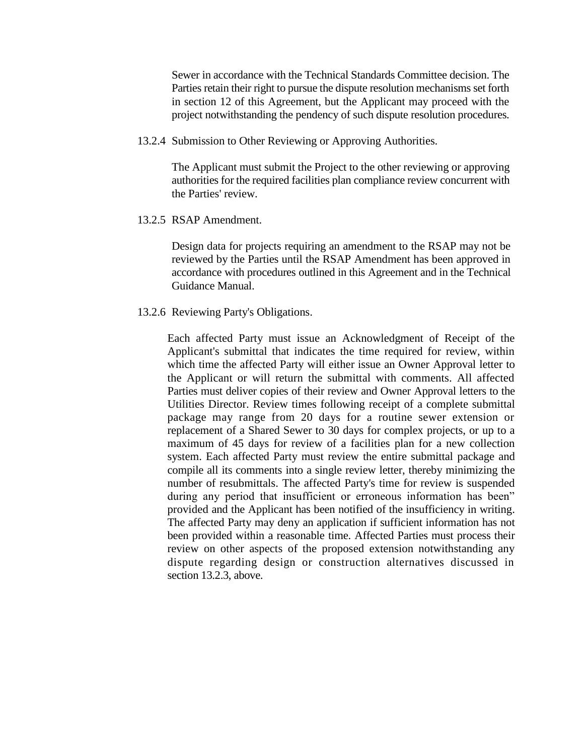Sewer in accordance with the Technical Standards Committee decision. The Parties retain their right to pursue the dispute resolution mechanisms set forth in section 12 of this Agreement, but the Applicant may proceed with the project notwithstanding the pendency of such dispute resolution procedures.

13.2.4 Submission to Other Reviewing or Approving Authorities.

The Applicant must submit the Project to the other reviewing or approving authorities for the required facilities plan compliance review concurrent with the Parties' review.

13.2.5 RSAP Amendment.

Design data for projects requiring an amendment to the RSAP may not be reviewed by the Parties until the RSAP Amendment has been approved in accordance with procedures outlined in this Agreement and in the Technical Guidance Manual.

13.2.6 Reviewing Party's Obligations.

Each affected Party must issue an Acknowledgment of Receipt of the Applicant's submittal that indicates the time required for review, within which time the affected Party will either issue an Owner Approval letter to the Applicant or will return the submittal with comments. All affected Parties must deliver copies of their review and Owner Approval letters to the Utilities Director. Review times following receipt of a complete submittal package may range from 20 days for a routine sewer extension or replacement of a Shared Sewer to 30 days for complex projects, or up to a maximum of 45 days for review of a facilities plan for a new collection system. Each affected Party must review the entire submittal package and compile all its comments into a single review letter, thereby minimizing the number of resubmittals. The affected Party's time for review is suspended during any period that insufficient or erroneous information has been" provided and the Applicant has been notified of the insufficiency in writing. The affected Party may deny an application if sufficient information has not been provided within a reasonable time. Affected Parties must process their review on other aspects of the proposed extension notwithstanding any dispute regarding design or construction alternatives discussed in section 13.2.3, above.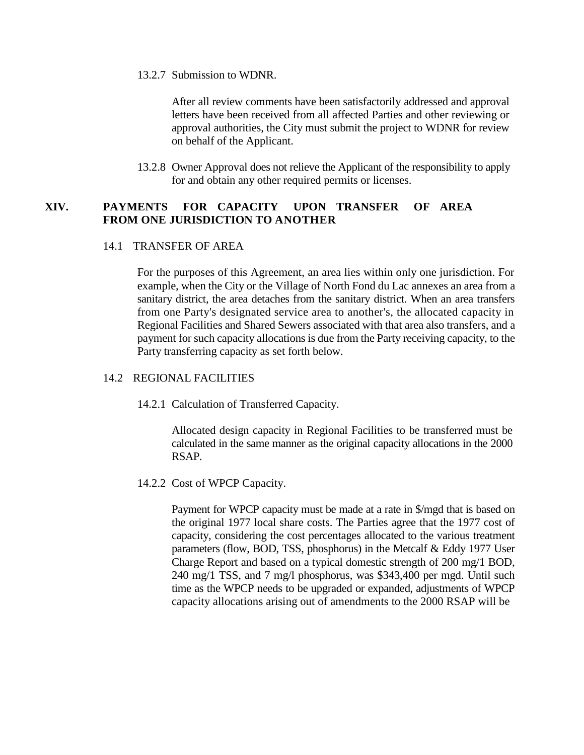13.2.7 Submission to WDNR.

After all review comments have been satisfactorily addressed and approval letters have been received from all affected Parties and other reviewing or approval authorities, the City must submit the project to WDNR for review on behalf of the Applicant.

13.2.8 Owner Approval does not relieve the Applicant of the responsibility to apply for and obtain any other required permits or licenses.

## **XIV. PAYMENTS FOR CAPACITY UPON TRANSFER OF AREA FROM ONE JURISDICTION TO ANOTHER**

## 14.1 TRANSFER OF AREA

For the purposes of this Agreement, an area lies within only one jurisdiction. For example, when the City or the Village of North Fond du Lac annexes an area from a sanitary district, the area detaches from the sanitary district. When an area transfers from one Party's designated service area to another's, the allocated capacity in Regional Facilities and Shared Sewers associated with that area also transfers, and a payment for such capacity allocations is due from the Party receiving capacity, to the Party transferring capacity as set forth below.

#### 14.2 REGIONAL FACILITIES

14.2.1 Calculation of Transferred Capacity.

Allocated design capacity in Regional Facilities to be transferred must be calculated in the same manner as the original capacity allocations in the 2000 RSAP.

14.2.2 Cost of WPCP Capacity.

Payment for WPCP capacity must be made at a rate in \$/mgd that is based on the original 1977 local share costs. The Parties agree that the 1977 cost of capacity, considering the cost percentages allocated to the various treatment parameters (flow, BOD, TSS, phosphorus) in the Metcalf & Eddy 1977 User Charge Report and based on a typical domestic strength of 200 mg/1 BOD, 240 mg/1 TSS, and 7 mg/l phosphorus, was \$343,400 per mgd. Until such time as the WPCP needs to be upgraded or expanded, adjustments of WPCP capacity allocations arising out of amendments to the 2000 RSAP will be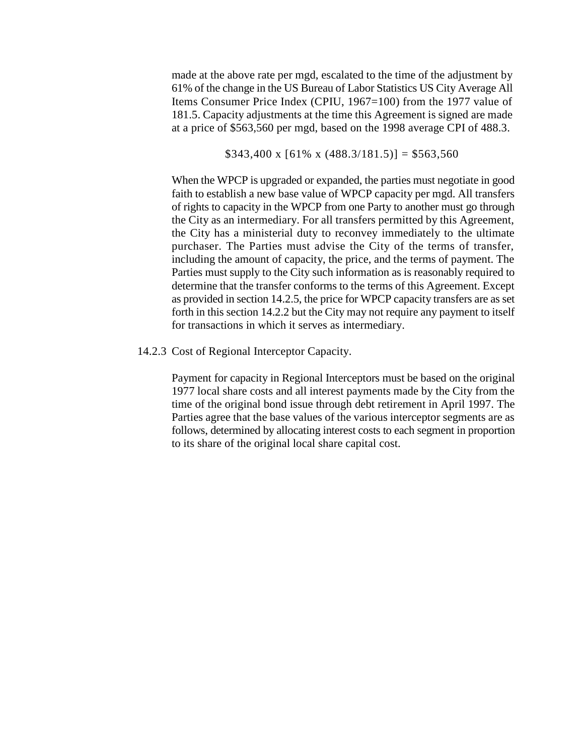made at the above rate per mgd, escalated to the time of the adjustment by 61% of the change in the US Bureau of Labor Statistics US City Average All Items Consumer Price Index (CPIU, 1967=100) from the 1977 value of 181.5. Capacity adjustments at the time this Agreement is signed are made at a price of \$563,560 per mgd, based on the 1998 average CPI of 488.3.

 $$343,400 \times [61\% \times (488.3/181.5)] = $563,560$ 

When the WPCP is upgraded or expanded, the parties must negotiate in good faith to establish a new base value of WPCP capacity per mgd. All transfers of rights to capacity in the WPCP from one Party to another must go through the City as an intermediary. For all transfers permitted by this Agreement, the City has a ministerial duty to reconvey immediately to the ultimate purchaser. The Parties must advise the City of the terms of transfer, including the amount of capacity, the price, and the terms of payment. The Parties must supply to the City such information as is reasonably required to determine that the transfer conforms to the terms of this Agreement. Except as provided in section 14.2.5, the price for WPCP capacity transfers are as set forth in this section 14.2.2 but the City may not require any payment to itself for transactions in which it serves as intermediary.

14.2.3 Cost of Regional Interceptor Capacity.

Payment for capacity in Regional Interceptors must be based on the original 1977 local share costs and all interest payments made by the City from the time of the original bond issue through debt retirement in April 1997. The Parties agree that the base values of the various interceptor segments are as follows, determined by allocating interest costs to each segment in proportion to its share of the original local share capital cost.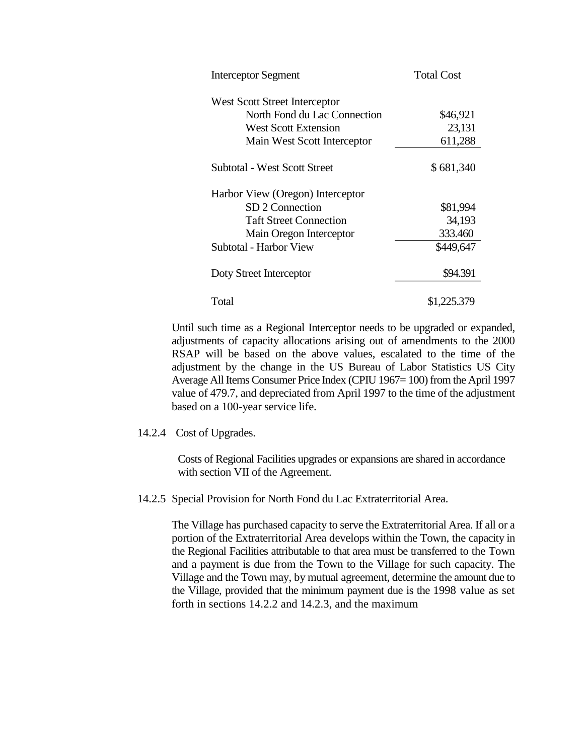| <b>Interceptor Segment</b>       | <b>Total Cost</b> |
|----------------------------------|-------------------|
| West Scott Street Interceptor    |                   |
| North Fond du Lac Connection     | \$46,921          |
| West Scott Extension             | 23,131            |
| Main West Scott Interceptor      | 611,288           |
| Subtotal - West Scott Street     | \$681,340         |
| Harbor View (Oregon) Interceptor |                   |
| SD 2 Connection                  | \$81,994          |
| <b>Taft Street Connection</b>    | 34,193            |
| Main Oregon Interceptor          | 333.460           |
| Subtotal - Harbor View           | \$449,647         |
| Doty Street Interceptor          | \$94.391          |
| Total                            | \$1,225.379       |

Until such time as a Regional Interceptor needs to be upgraded or expanded, adjustments of capacity allocations arising out of amendments to the 2000 RSAP will be based on the above values, escalated to the time of the adjustment by the change in the US Bureau of Labor Statistics US City Average All Items Consumer Price Index (CPIU 1967= 100) from the April 1997 value of 479.7, and depreciated from April 1997 to the time of the adjustment based on a 100-year service life.

#### 14.2.4 Cost of Upgrades.

Costs of Regional Facilities upgrades or expansions are shared in accordance with section VII of the Agreement.

#### 14.2.5 Special Provision for North Fond du Lac Extraterritorial Area.

The Village has purchased capacity to serve the Extraterritorial Area. If all or a portion of the Extraterritorial Area develops within the Town, the capacity in the Regional Facilities attributable to that area must be transferred to the Town and a payment is due from the Town to the Village for such capacity. The Village and the Town may, by mutual agreement, determine the amount due to the Village, provided that the minimum payment due is the 1998 value as set forth in sections 14.2.2 and 14.2.3, and the maximum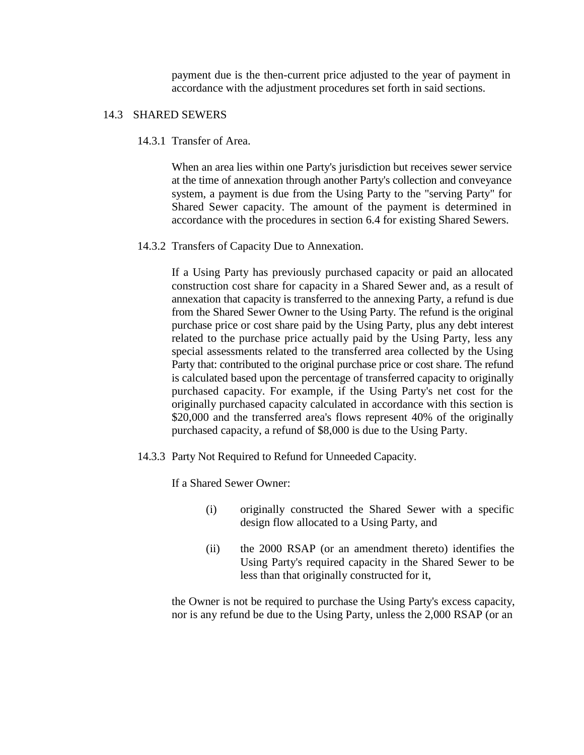payment due is the then-current price adjusted to the year of payment in accordance with the adjustment procedures set forth in said sections.

## 14.3 SHARED SEWERS

14.3.1 Transfer of Area.

When an area lies within one Party's jurisdiction but receives sewer service at the time of annexation through another Party's collection and conveyance system, a payment is due from the Using Party to the "serving Party" for Shared Sewer capacity. The amount of the payment is determined in accordance with the procedures in section 6.4 for existing Shared Sewers.

14.3.2 Transfers of Capacity Due to Annexation.

If a Using Party has previously purchased capacity or paid an allocated construction cost share for capacity in a Shared Sewer and, as a result of annexation that capacity is transferred to the annexing Party, a refund is due from the Shared Sewer Owner to the Using Party. The refund is the original purchase price or cost share paid by the Using Party, plus any debt interest related to the purchase price actually paid by the Using Party, less any special assessments related to the transferred area collected by the Using Party that: contributed to the original purchase price or cost share. The refund is calculated based upon the percentage of transferred capacity to originally purchased capacity. For example, if the Using Party's net cost for the originally purchased capacity calculated in accordance with this section is \$20,000 and the transferred area's flows represent 40% of the originally purchased capacity, a refund of \$8,000 is due to the Using Party.

14.3.3 Party Not Required to Refund for Unneeded Capacity.

If a Shared Sewer Owner:

- (i) originally constructed the Shared Sewer with a specific design flow allocated to a Using Party, and
- (ii) the 2000 RSAP (or an amendment thereto) identifies the Using Party's required capacity in the Shared Sewer to be less than that originally constructed for it,

the Owner is not be required to purchase the Using Party's excess capacity, nor is any refund be due to the Using Party, unless the 2,000 RSAP (or an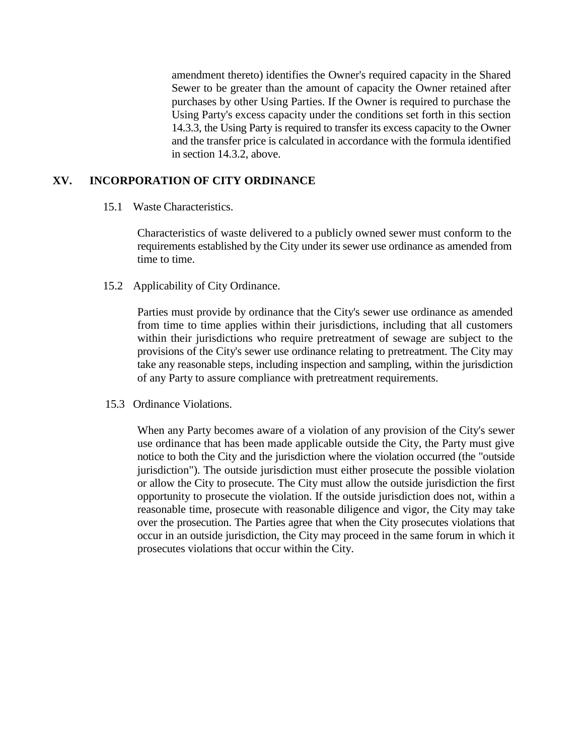amendment thereto) identifies the Owner's required capacity in the Shared Sewer to be greater than the amount of capacity the Owner retained after purchases by other Using Parties. If the Owner is required to purchase the Using Party's excess capacity under the conditions set forth in this section 14.3.3, the Using Party is required to transfer its excess capacity to the Owner and the transfer price is calculated in accordance with the formula identified in section 14.3.2, above.

## **XV. INCORPORATION OF CITY ORDINANCE**

15.1 Waste Characteristics.

Characteristics of waste delivered to a publicly owned sewer must conform to the requirements established by the City under its sewer use ordinance as amended from time to time.

15.2 Applicability of City Ordinance.

Parties must provide by ordinance that the City's sewer use ordinance as amended from time to time applies within their jurisdictions, including that all customers within their jurisdictions who require pretreatment of sewage are subject to the provisions of the City's sewer use ordinance relating to pretreatment. The City may take any reasonable steps, including inspection and sampling, within the jurisdiction of any Party to assure compliance with pretreatment requirements.

15.3 Ordinance Violations.

When any Party becomes aware of a violation of any provision of the City's sewer use ordinance that has been made applicable outside the City, the Party must give notice to both the City and the jurisdiction where the violation occurred (the "outside jurisdiction"). The outside jurisdiction must either prosecute the possible violation or allow the City to prosecute. The City must allow the outside jurisdiction the first opportunity to prosecute the violation. If the outside jurisdiction does not, within a reasonable time, prosecute with reasonable diligence and vigor, the City may take over the prosecution. The Parties agree that when the City prosecutes violations that occur in an outside jurisdiction, the City may proceed in the same forum in which it prosecutes violations that occur within the City.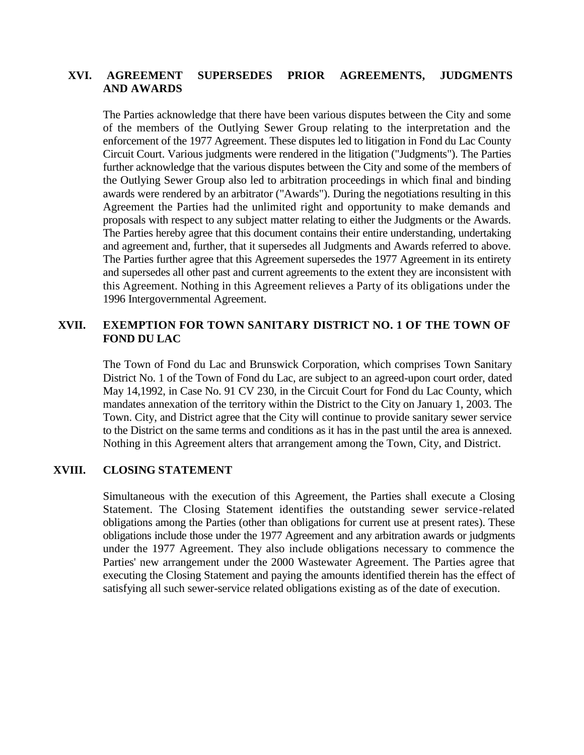## **XVI. AGREEMENT SUPERSEDES PRIOR AGREEMENTS, JUDGMENTS AND AWARDS**

The Parties acknowledge that there have been various disputes between the City and some of the members of the Outlying Sewer Group relating to the interpretation and the enforcement of the 1977 Agreement. These disputes led to litigation in Fond du Lac County Circuit Court. Various judgments were rendered in the litigation ("Judgments"). The Parties further acknowledge that the various disputes between the City and some of the members of the Outlying Sewer Group also led to arbitration proceedings in which final and binding awards were rendered by an arbitrator ("Awards"). During the negotiations resulting in this Agreement the Parties had the unlimited right and opportunity to make demands and proposals with respect to any subject matter relating to either the Judgments or the Awards. The Parties hereby agree that this document contains their entire understanding, undertaking and agreement and, further, that it supersedes all Judgments and Awards referred to above. The Parties further agree that this Agreement supersedes the 1977 Agreement in its entirety and supersedes all other past and current agreements to the extent they are inconsistent with this Agreement. Nothing in this Agreement relieves a Party of its obligations under the 1996 Intergovernmental Agreement.

## **XVII. EXEMPTION FOR TOWN SANITARY DISTRICT NO. 1 OF THE TOWN OF FOND DU LAC**

The Town of Fond du Lac and Brunswick Corporation, which comprises Town Sanitary District No. 1 of the Town of Fond du Lac, are subject to an agreed-upon court order, dated May 14,1992, in Case No. 91 CV 230, in the Circuit Court for Fond du Lac County, which mandates annexation of the territory within the District to the City on January 1, 2003. The Town. City, and District agree that the City will continue to provide sanitary sewer service to the District on the same terms and conditions as it has in the past until the area is annexed. Nothing in this Agreement alters that arrangement among the Town, City, and District.

#### **XVIII. CLOSING STATEMENT**

Simultaneous with the execution of this Agreement, the Parties shall execute a Closing Statement. The Closing Statement identifies the outstanding sewer service-related obligations among the Parties (other than obligations for current use at present rates). These obligations include those under the 1977 Agreement and any arbitration awards or judgments under the 1977 Agreement. They also include obligations necessary to commence the Parties' new arrangement under the 2000 Wastewater Agreement. The Parties agree that executing the Closing Statement and paying the amounts identified therein has the effect of satisfying all such sewer-service related obligations existing as of the date of execution.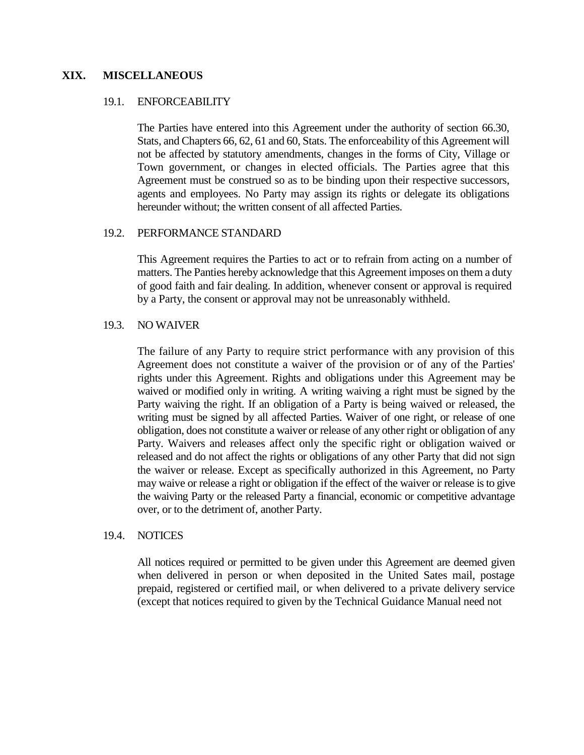#### **XIX. MISCELLANEOUS**

#### 19.1. ENFORCEABILITY

The Parties have entered into this Agreement under the authority of section 66.30, Stats, and Chapters 66, 62, 61 and 60, Stats. The enforceability of this Agreement will not be affected by statutory amendments, changes in the forms of City, Village or Town government, or changes in elected officials. The Parties agree that this Agreement must be construed so as to be binding upon their respective successors, agents and employees. No Party may assign its rights or delegate its obligations hereunder without; the written consent of all affected Parties.

#### 19.2. PERFORMANCE STANDARD

This Agreement requires the Parties to act or to refrain from acting on a number of matters. The Panties hereby acknowledge that this Agreement imposes on them a duty of good faith and fair dealing. In addition, whenever consent or approval is required by a Party, the consent or approval may not be unreasonably withheld.

#### 19.3. NO WAIVER

The failure of any Party to require strict performance with any provision of this Agreement does not constitute a waiver of the provision or of any of the Parties' rights under this Agreement. Rights and obligations under this Agreement may be waived or modified only in writing. A writing waiving a right must be signed by the Party waiving the right. If an obligation of a Party is being waived or released, the writing must be signed by all affected Parties. Waiver of one right, or release of one obligation, does not constitute a waiver or release of any other right or obligation of any Party. Waivers and releases affect only the specific right or obligation waived or released and do not affect the rights or obligations of any other Party that did not sign the waiver or release. Except as specifically authorized in this Agreement, no Party may waive or release a right or obligation if the effect of the waiver or release is to give the waiving Party or the released Party a financial, economic or competitive advantage over, or to the detriment of, another Party.

#### 19.4. NOTICES

All notices required or permitted to be given under this Agreement are deemed given when delivered in person or when deposited in the United Sates mail, postage prepaid, registered or certified mail, or when delivered to a private delivery service (except that notices required to given by the Technical Guidance Manual need not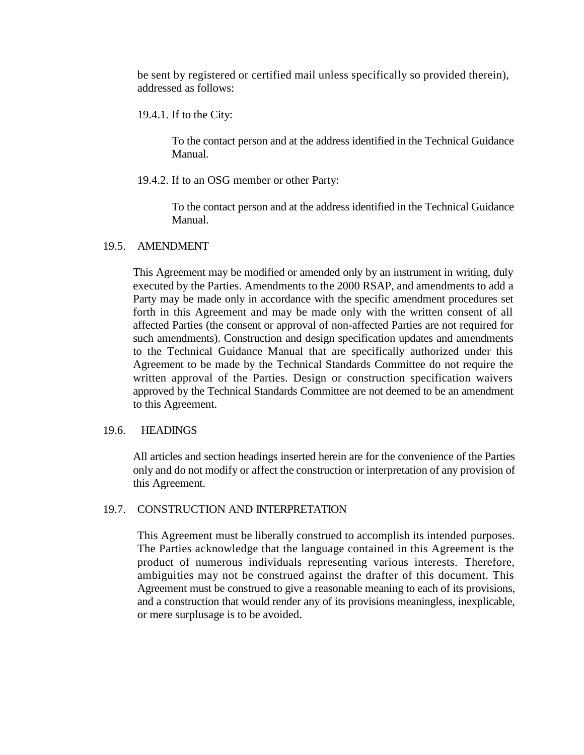be sent by registered or certified mail unless specifically so provided therein), addressed as follows:

19.4.1. If to the City:

To the contact person and at the address identified in the Technical Guidance Manual.

19.4.2. If to an OSG member or other Party:

To the contact person and at the address identified in the Technical Guidance Manual.

## 19.5. AMENDMENT

This Agreement may be modified or amended only by an instrument in writing, duly executed by the Parties. Amendments to the 2000 RSAP, and amendments to add a Party may be made only in accordance with the specific amendment procedures set forth in this Agreement and may be made only with the written consent of all affected Parties (the consent or approval of non-affected Parties are not required for such amendments). Construction and design specification updates and amendments to the Technical Guidance Manual that are specifically authorized under this Agreement to be made by the Technical Standards Committee do not require the written approval of the Parties. Design or construction specification waivers approved by the Technical Standards Committee are not deemed to be an amendment to this Agreement.

## 19.6. HEADINGS

All articles and section headings inserted herein are for the convenience of the Parties only and do not modify or affect the construction or interpretation of any provision of this Agreement.

## 19.7. CONSTRUCTION AND INTERPRETATION

This Agreement must be liberally construed to accomplish its intended purposes. The Parties acknowledge that the language contained in this Agreement is the product of numerous individuals representing various interests. Therefore, ambiguities may not be construed against the drafter of this document. This Agreement must be construed to give a reasonable meaning to each of its provisions, and a construction that would render any of its provisions meaningless, inexplicable, or mere surplusage is to be avoided.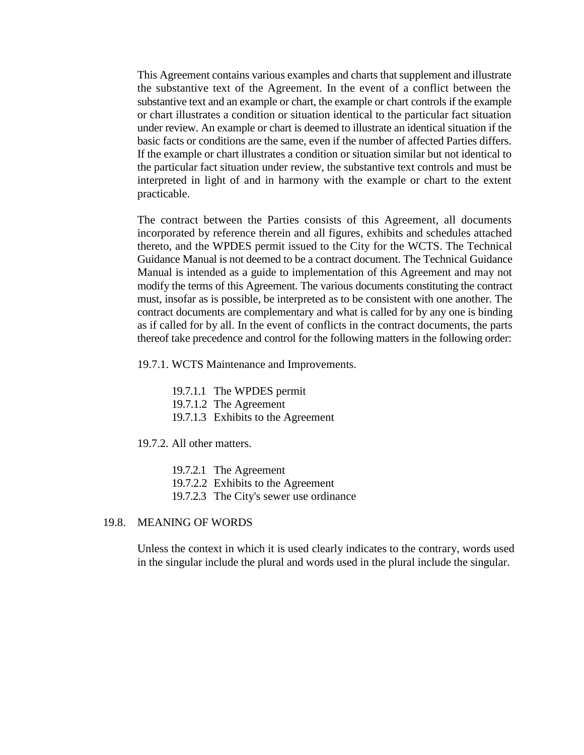This Agreement contains various examples and charts that supplement and illustrate the substantive text of the Agreement. In the event of a conflict between the substantive text and an example or chart, the example or chart controls if the example or chart illustrates a condition or situation identical to the particular fact situation under review. An example or chart is deemed to illustrate an identical situation if the basic facts or conditions are the same, even if the number of affected Parties differs. If the example or chart illustrates a condition or situation similar but not identical to the particular fact situation under review, the substantive text controls and must be interpreted in light of and in harmony with the example or chart to the extent practicable.

The contract between the Parties consists of this Agreement, all documents incorporated by reference therein and all figures, exhibits and schedules attached thereto, and the WPDES permit issued to the City for the WCTS. The Technical Guidance Manual is not deemed to be a contract document. The Technical Guidance Manual is intended as a guide to implementation of this Agreement and may not modify the terms of this Agreement. The various documents constituting the contract must, insofar as is possible, be interpreted as to be consistent with one another. The contract documents are complementary and what is called for by any one is binding as if called for by all. In the event of conflicts in the contract documents, the parts thereof take precedence and control for the following matters in the following order:

19.7.1. WCTS Maintenance and Improvements.

19.7.1.1 The WPDES permit

19.7.1.2 The Agreement

19.7.1.3 Exhibits to the Agreement

19.7.2. All other matters.

19.7.2.1 The Agreement

19.7.2.2 Exhibits to the Agreement

19.7.2.3 The City's sewer use ordinance

#### 19.8. MEANING OF WORDS

Unless the context in which it is used clearly indicates to the contrary, words used in the singular include the plural and words used in the plural include the singular.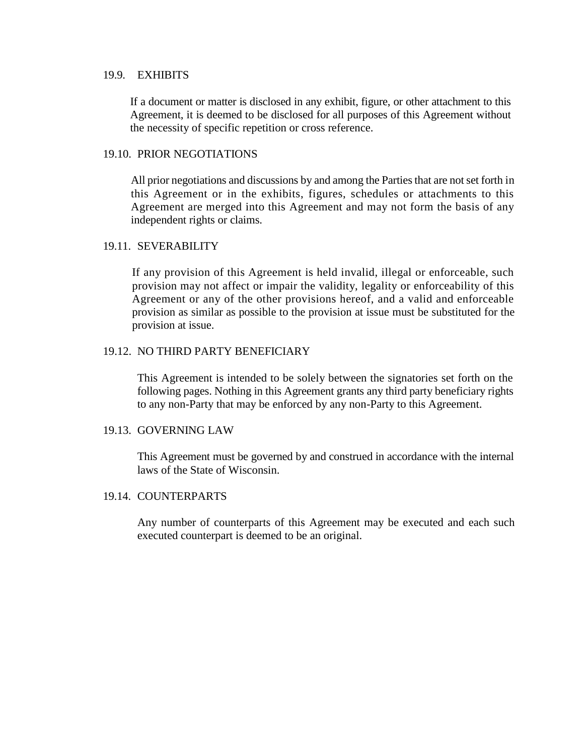#### 19.9. EXHIBITS

If a document or matter is disclosed in any exhibit, figure, or other attachment to this Agreement, it is deemed to be disclosed for all purposes of this Agreement without the necessity of specific repetition or cross reference.

## 19.10. PRIOR NEGOTIATIONS

All prior negotiations and discussions by and among the Parties that are not set forth in this Agreement or in the exhibits, figures, schedules or attachments to this Agreement are merged into this Agreement and may not form the basis of any independent rights or claims.

## 19.11. SEVERABILITY

If any provision of this Agreement is held invalid, illegal or enforceable, such provision may not affect or impair the validity, legality or enforceability of this Agreement or any of the other provisions hereof, and a valid and enforceable provision as similar as possible to the provision at issue must be substituted for the provision at issue.

## 19.12. NO THIRD PARTY BENEFICIARY

This Agreement is intended to be solely between the signatories set forth on the following pages. Nothing in this Agreement grants any third party beneficiary rights to any non-Party that may be enforced by any non-Party to this Agreement.

#### 19.13. GOVERNING LAW

This Agreement must be governed by and construed in accordance with the internal laws of the State of Wisconsin.

## 19.14. COUNTERPARTS

Any number of counterparts of this Agreement may be executed and each such executed counterpart is deemed to be an original.